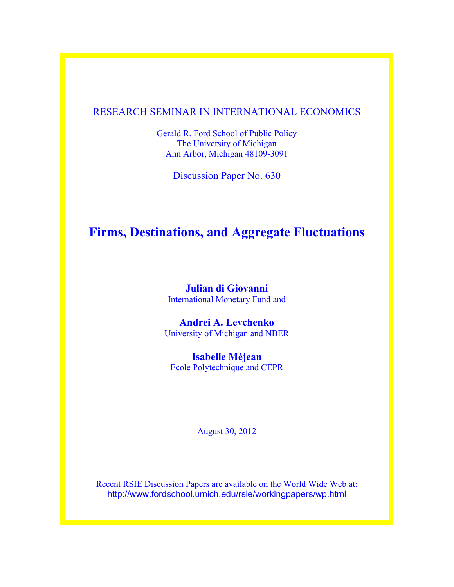# RESEARCH SEMINAR IN INTERNATIONAL ECONOMICS

Gerald R. Ford School of Public Policy The University of Michigan Ann Arbor, Michigan 48109-3091

Discussion Paper No. 630

# **Firms, Destinations, and Aggregate Fluctuations**

**Julian di Giovanni** International Monetary Fund and

**Andrei A. Levchenko** University of Michigan and NBER

**Isabelle Méjean** Ecole Polytechnique and CEPR

August 30, 2012

Recent RSIE Discussion Papers are available on the World Wide Web at: http://www.fordschool.umich.edu/rsie/workingpapers/wp.html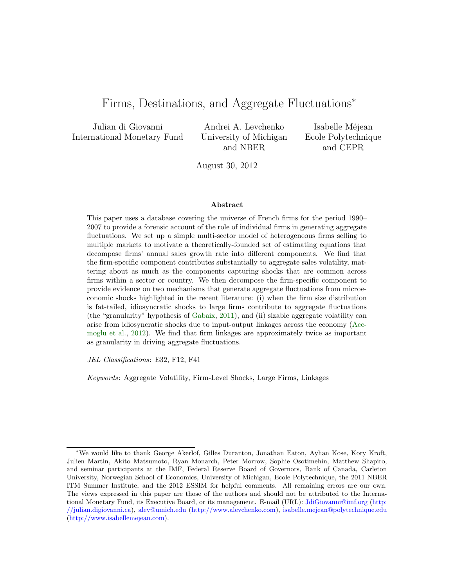# Firms, Destinations, and Aggregate Fluctuations<sup>∗</sup>

Julian di Giovanni International Monetary Fund

Andrei A. Levchenko University of Michigan and NBER

Isabelle Méjean Ecole Polytechnique and CEPR

August 30, 2012

#### Abstract

This paper uses a database covering the universe of French firms for the period 1990– 2007 to provide a forensic account of the role of individual firms in generating aggregate fluctuations. We set up a simple multi-sector model of heterogeneous firms selling to multiple markets to motivate a theoretically-founded set of estimating equations that decompose firms' annual sales growth rate into different components. We find that the firm-specific component contributes substantially to aggregate sales volatility, mattering about as much as the components capturing shocks that are common across firms within a sector or country. We then decompose the firm-specific component to provide evidence on two mechanisms that generate aggregate fluctuations from microeconomic shocks highlighted in the recent literature: (i) when the firm size distribution is fat-tailed, idiosyncratic shocks to large firms contribute to aggregate fluctuations (the "granularity" hypothesis of [Gabaix,](#page-33-0) [2011\)](#page-33-0), and (ii) sizable aggregate volatility can arise from idiosyncratic shocks due to input-output linkages across the economy [\(Ace](#page-32-0)[moglu et al.,](#page-32-0) [2012\)](#page-32-0). We find that firm linkages are approximately twice as important as granularity in driving aggregate fluctuations.

JEL Classifications: E32, F12, F41

Keywords: Aggregate Volatility, Firm-Level Shocks, Large Firms, Linkages

<sup>∗</sup>We would like to thank George Akerlof, Gilles Duranton, Jonathan Eaton, Ayhan Kose, Kory Kroft, Julien Martin, Akito Matsumoto, Ryan Monarch, Peter Morrow, Sophie Osotimehin, Matthew Shapiro, and seminar participants at the IMF, Federal Reserve Board of Governors, Bank of Canada, Carleton University, Norwegian School of Economics, University of Michigan, Ecole Polytechnique, the 2011 NBER ITM Summer Institute, and the 2012 ESSIM for helpful comments. All remaining errors are our own. The views expressed in this paper are those of the authors and should not be attributed to the International Monetary Fund, its Executive Board, or its management. E-mail (URL): [JdiGiovanni@imf.org](mailto:JdiGiovanni@imf.org) [\(http:](http://julian.digiovanni.ca) [//julian.digiovanni.ca\)](http://julian.digiovanni.ca), [alev@umich.edu](mailto:alev@umich.edu) [\(http://www.alevchenko.com\)](http://www.alevchenko.com), [isabelle.mejean@polytechnique.edu](mailto:isabelle.mejean@polytechnique.edu) [\(http://www.isabellemejean.com\)](http://www.isabellemejean.com).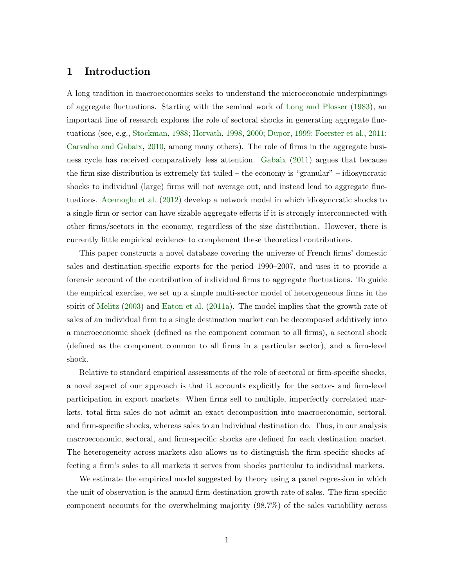## 1 Introduction

A long tradition in macroeconomics seeks to understand the microeconomic underpinnings of aggregate fluctuations. Starting with the seminal work of [Long and Plosser](#page-33-1) [\(1983\)](#page-33-1), an important line of research explores the role of sectoral shocks in generating aggregate fluctuations (see, e.g., [Stockman,](#page-33-2) [1988;](#page-33-2) [Horvath,](#page-33-3) [1998,](#page-33-3) [2000;](#page-33-4) [Dupor,](#page-32-1) [1999;](#page-32-1) [Foerster et al.,](#page-33-5) [2011;](#page-33-5) [Carvalho and Gabaix,](#page-32-2) [2010,](#page-32-2) among many others). The role of firms in the aggregate business cycle has received comparatively less attention. [Gabaix](#page-33-0) [\(2011\)](#page-33-0) argues that because the firm size distribution is extremely fat-tailed – the economy is "granular" – idiosyncratic shocks to individual (large) firms will not average out, and instead lead to aggregate fluctuations. [Acemoglu et al.](#page-32-0) [\(2012\)](#page-32-0) develop a network model in which idiosyncratic shocks to a single firm or sector can have sizable aggregate effects if it is strongly interconnected with other firms/sectors in the economy, regardless of the size distribution. However, there is currently little empirical evidence to complement these theoretical contributions.

This paper constructs a novel database covering the universe of French firms' domestic sales and destination-specific exports for the period 1990–2007, and uses it to provide a forensic account of the contribution of individual firms to aggregate fluctuations. To guide the empirical exercise, we set up a simple multi-sector model of heterogeneous firms in the spirit of [Melitz](#page-33-6) [\(2003\)](#page-33-6) and [Eaton et al.](#page-32-3) [\(2011a\)](#page-32-3). The model implies that the growth rate of sales of an individual firm to a single destination market can be decomposed additively into a macroeconomic shock (defined as the component common to all firms), a sectoral shock (defined as the component common to all firms in a particular sector), and a firm-level shock.

Relative to standard empirical assessments of the role of sectoral or firm-specific shocks, a novel aspect of our approach is that it accounts explicitly for the sector- and firm-level participation in export markets. When firms sell to multiple, imperfectly correlated markets, total firm sales do not admit an exact decomposition into macroeconomic, sectoral, and firm-specific shocks, whereas sales to an individual destination do. Thus, in our analysis macroeconomic, sectoral, and firm-specific shocks are defined for each destination market. The heterogeneity across markets also allows us to distinguish the firm-specific shocks affecting a firm's sales to all markets it serves from shocks particular to individual markets.

We estimate the empirical model suggested by theory using a panel regression in which the unit of observation is the annual firm-destination growth rate of sales. The firm-specific component accounts for the overwhelming majority (98.7%) of the sales variability across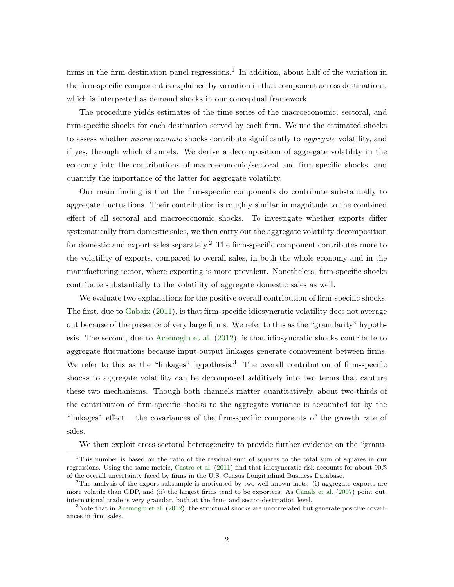firms in the firm-destination panel regressions.<sup>1</sup> In addition, about half of the variation in the firm-specific component is explained by variation in that component across destinations, which is interpreted as demand shocks in our conceptual framework.

The procedure yields estimates of the time series of the macroeconomic, sectoral, and firm-specific shocks for each destination served by each firm. We use the estimated shocks to assess whether *microeconomic* shocks contribute significantly to *aggregate* volatility, and if yes, through which channels. We derive a decomposition of aggregate volatility in the economy into the contributions of macroeconomic/sectoral and firm-specific shocks, and quantify the importance of the latter for aggregate volatility.

Our main finding is that the firm-specific components do contribute substantially to aggregate fluctuations. Their contribution is roughly similar in magnitude to the combined effect of all sectoral and macroeconomic shocks. To investigate whether exports differ systematically from domestic sales, we then carry out the aggregate volatility decomposition for domestic and export sales separately.<sup>2</sup> The firm-specific component contributes more to the volatility of exports, compared to overall sales, in both the whole economy and in the manufacturing sector, where exporting is more prevalent. Nonetheless, firm-specific shocks contribute substantially to the volatility of aggregate domestic sales as well.

We evaluate two explanations for the positive overall contribution of firm-specific shocks. The first, due to [Gabaix](#page-33-0) [\(2011\)](#page-33-0), is that firm-specific idiosyncratic volatility does not average out because of the presence of very large firms. We refer to this as the "granularity" hypothesis. The second, due to [Acemoglu et al.](#page-32-0) [\(2012\)](#page-32-0), is that idiosyncratic shocks contribute to aggregate fluctuations because input-output linkages generate comovement between firms. We refer to this as the "linkages" hypothesis.<sup>3</sup> The overall contribution of firm-specific shocks to aggregate volatility can be decomposed additively into two terms that capture these two mechanisms. Though both channels matter quantitatively, about two-thirds of the contribution of firm-specific shocks to the aggregate variance is accounted for by the "linkages" effect – the covariances of the firm-specific components of the growth rate of sales.

We then exploit cross-sectoral heterogeneity to provide further evidence on the "granu-

<sup>&</sup>lt;sup>1</sup>This number is based on the ratio of the residual sum of squares to the total sum of squares in our regressions. Using the same metric, [Castro et al.](#page-32-4) [\(2011\)](#page-32-4) find that idiosyncratic risk accounts for about 90% of the overall uncertainty faced by firms in the U.S. Census Longitudinal Business Database.

<sup>&</sup>lt;sup>2</sup>The analysis of the export subsample is motivated by two well-known facts: (i) aggregate exports are more volatile than GDP, and (ii) the largest firms tend to be exporters. As [Canals et al.](#page-32-5) [\(2007\)](#page-32-5) point out, international trade is very granular, both at the firm- and sector-destination level.

 $3$ Note that in [Acemoglu et al.](#page-32-0) [\(2012\)](#page-32-0), the structural shocks are uncorrelated but generate positive covariances in firm sales.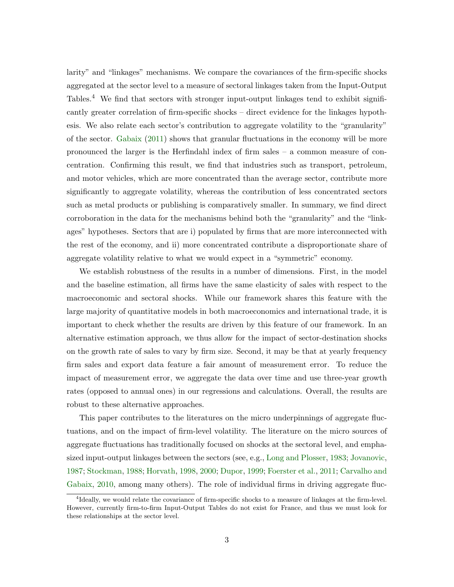larity" and "linkages" mechanisms. We compare the covariances of the firm-specific shocks aggregated at the sector level to a measure of sectoral linkages taken from the Input-Output Tables.<sup>4</sup> We find that sectors with stronger input-output linkages tend to exhibit significantly greater correlation of firm-specific shocks – direct evidence for the linkages hypothesis. We also relate each sector's contribution to aggregate volatility to the "granularity" of the sector. [Gabaix](#page-33-0) [\(2011\)](#page-33-0) shows that granular fluctuations in the economy will be more pronounced the larger is the Herfindahl index of firm sales – a common measure of concentration. Confirming this result, we find that industries such as transport, petroleum, and motor vehicles, which are more concentrated than the average sector, contribute more significantly to aggregate volatility, whereas the contribution of less concentrated sectors such as metal products or publishing is comparatively smaller. In summary, we find direct corroboration in the data for the mechanisms behind both the "granularity" and the "linkages" hypotheses. Sectors that are i) populated by firms that are more interconnected with the rest of the economy, and ii) more concentrated contribute a disproportionate share of aggregate volatility relative to what we would expect in a "symmetric" economy.

We establish robustness of the results in a number of dimensions. First, in the model and the baseline estimation, all firms have the same elasticity of sales with respect to the macroeconomic and sectoral shocks. While our framework shares this feature with the large majority of quantitative models in both macroeconomics and international trade, it is important to check whether the results are driven by this feature of our framework. In an alternative estimation approach, we thus allow for the impact of sector-destination shocks on the growth rate of sales to vary by firm size. Second, it may be that at yearly frequency firm sales and export data feature a fair amount of measurement error. To reduce the impact of measurement error, we aggregate the data over time and use three-year growth rates (opposed to annual ones) in our regressions and calculations. Overall, the results are robust to these alternative approaches.

This paper contributes to the literatures on the micro underpinnings of aggregate fluctuations, and on the impact of firm-level volatility. The literature on the micro sources of aggregate fluctuations has traditionally focused on shocks at the sectoral level, and emphasized input-output linkages between the sectors (see, e.g., [Long and Plosser,](#page-33-1) [1983;](#page-33-1) [Jovanovic,](#page-33-7) [1987;](#page-33-7) [Stockman,](#page-33-2) [1988;](#page-33-2) [Horvath,](#page-33-3) [1998,](#page-33-3) [2000;](#page-33-4) [Dupor,](#page-32-1) [1999;](#page-32-1) [Foerster et al.,](#page-33-5) [2011;](#page-33-5) [Carvalho and](#page-32-2) [Gabaix,](#page-32-2) [2010,](#page-32-2) among many others). The role of individual firms in driving aggregate fluc-

<sup>4</sup> Ideally, we would relate the covariance of firm-specific shocks to a measure of linkages at the firm-level. However, currently firm-to-firm Input-Output Tables do not exist for France, and thus we must look for these relationships at the sector level.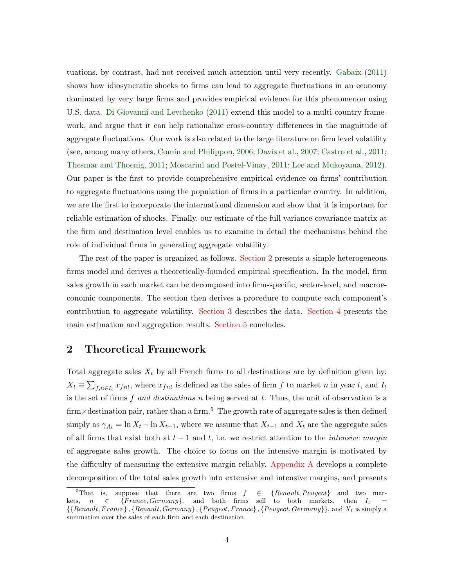tuations, by contrast, had not received much attention until very recently. [Gabaix](#page-33-0) [\(2011\)](#page-33-0) shows how idiosyncratic shocks to firms can lead to aggregate fluctuations in an economy dominated by very large firms and provides empirical evidence for this phenomenon using U.S. data. [Di Giovanni and Levchenko](#page-32-6) [\(2011\)](#page-32-6) extend this model to a multi-country framework, and argue that it can help rationalize cross-country differences in the magnitude of aggregate fluctuations. Our work is also related to the large literature on firm level volatility (see, among many others, Comín and Philippon, [2006;](#page-32-7) [Davis et al.,](#page-32-8) [2007;](#page-32-8) [Castro et al.,](#page-32-4) [2011;](#page-32-4) [Thesmar and Thoenig,](#page-33-8) [2011;](#page-33-8) [Moscarini and Postel-Vinay,](#page-33-9) [2011;](#page-33-9) [Lee and Mukoyama,](#page-33-10) [2012\)](#page-33-10). Our paper is the first to provide comprehensive empirical evidence on firms' contribution to aggregate fluctuations using the population of firms in a particular country. In addition, we are the first to incorporate the international dimension and show that it is important for reliable estimation of shocks. Finally, our estimate of the full variance-covariance matrix at the firm and destination level enables us to examine in detail the mechanisms behind the role of individual firms in generating aggregate volatility.

The rest of the paper is organized as follows. [Section 2](#page-5-0) presents a simple heterogeneous firms model and derives a theoretically-founded empirical specification. In the model, firm sales growth in each market can be decomposed into firm-specific, sector-level, and macroeconomic components. The section then derives a procedure to compute each component's contribution to aggregate volatility. [Section 3](#page-12-0) describes the data. [Section 4](#page-16-0) presents the main estimation and aggregation results. [Section 5](#page-23-0) concludes.

## <span id="page-5-0"></span>2 Theoretical Framework

Total aggregate sales  $X_t$  by all French firms to all destinations are by definition given by:  $X_t \equiv \sum_{f,n \in I_t} x_{fnt}$ , where  $x_{fnt}$  is defined as the sales of firm f to market n in year t, and  $I_t$ is the set of firms f and destinations n being served at t. Thus, the unit of observation is a firm×destination pair, rather than a firm.<sup>5</sup> The growth rate of aggregate sales is then defined simply as  $\gamma_{At} = \ln X_t - \ln X_{t-1}$ , where we assume that  $X_{t-1}$  and  $X_t$  are the aggregate sales of all firms that exist both at  $t-1$  and  $t$ , i.e. we restrict attention to the *intensive margin* of aggregate sales growth. The choice to focus on the intensive margin is motivated by the difficulty of measuring the extensive margin reliably. [Appendix A](#page-25-0) develops a complete decomposition of the total sales growth into extensive and intensive margins, and presents

<sup>&</sup>lt;sup>5</sup>That is, suppose that there are two firms  $f \in \{Renault, Peugeot\}$  and two markets,  $n \in \{France, Germany\}$ , and both firms sell to both markets, then  $I_t$  $\{ \{Renault, France\} , \{Renault, Germany\} , \{Peugeot, Frame\} , \{Peugeot, Germany\} \}$ , and  $X_t$  is simply a summation over the sales of each firm and each destination.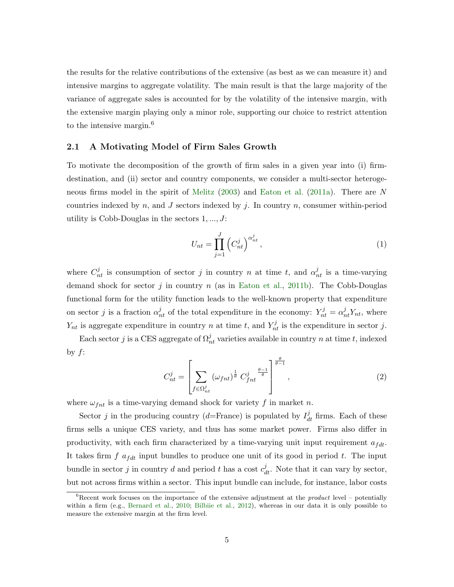the results for the relative contributions of the extensive (as best as we can measure it) and intensive margins to aggregate volatility. The main result is that the large majority of the variance of aggregate sales is accounted for by the volatility of the intensive margin, with the extensive margin playing only a minor role, supporting our choice to restrict attention to the intensive margin.<sup>6</sup>

#### 2.1 A Motivating Model of Firm Sales Growth

To motivate the decomposition of the growth of firm sales in a given year into (i) firmdestination, and (ii) sector and country components, we consider a multi-sector heterogeneous firms model in the spirit of [Melitz](#page-33-6) [\(2003\)](#page-33-6) and [Eaton et al.](#page-32-3) [\(2011a\)](#page-32-3). There are N countries indexed by n, and J sectors indexed by j. In country n, consumer within-period utility is Cobb-Douglas in the sectors  $1, \ldots, J$ :

$$
U_{nt} = \prod_{j=1}^{J} \left( C_{nt}^{j} \right)^{\alpha_{nt}^{j}}, \qquad (1)
$$

where  $C_{nt}^{j}$  is consumption of sector j in country n at time t, and  $\alpha_{nt}^{j}$  is a time-varying demand shock for sector j in country  $n$  (as in [Eaton et al.,](#page-33-11) [2011b\)](#page-33-11). The Cobb-Douglas functional form for the utility function leads to the well-known property that expenditure on sector j is a fraction  $\alpha_{nt}^j$  of the total expenditure in the economy:  $Y_{nt}^j = \alpha_{nt}^j Y_{nt}$ , where  $Y_{nt}$  is aggregate expenditure in country n at time t, and  $Y_{nt}^j$  is the expenditure in sector j.

Each sector j is a CES aggregate of  $\Omega_{nt}^{j}$  varieties available in country n at time t, indexed by  $f$ :

$$
C_{nt}^{j} = \left[ \sum_{f \in \Omega_{nt}^{j}} (\omega_{fnt})^{\frac{1}{\theta}} C_{fnt}^{j} \right]^{\frac{\theta}{\theta - 1}}, \qquad (2)
$$

where  $\omega_{fnt}$  is a time-varying demand shock for variety f in market n.

Sector j in the producing country (d=France) is populated by  $I_{dt}^{j}$  firms. Each of these firms sells a unique CES variety, and thus has some market power. Firms also differ in productivity, with each firm characterized by a time-varying unit input requirement  $a_{fdt}$ . It takes firm  $f$   $a_{fdt}$  input bundles to produce one unit of its good in period t. The input bundle in sector j in country d and period t has a cost  $c_{dt}^{j}$ . Note that it can vary by sector, but not across firms within a sector. This input bundle can include, for instance, labor costs

 ${}^6R$ ecent work focuses on the importance of the extensive adjustment at the *product* level – potentially within a firm (e.g., [Bernard et al.,](#page-32-9) [2010;](#page-32-9) [Bilbiie et al.,](#page-32-10) [2012\)](#page-32-10), whereas in our data it is only possible to measure the extensive margin at the firm level.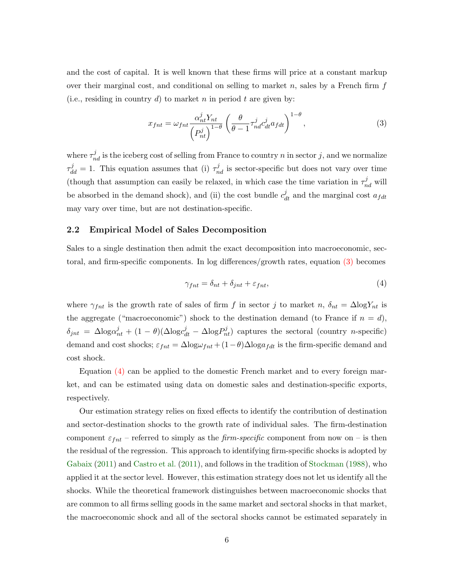and the cost of capital. It is well known that these firms will price at a constant markup over their marginal cost, and conditional on selling to market n, sales by a French firm  $f$ (i.e., residing in country d) to market n in period t are given by:

<span id="page-7-0"></span>
$$
x_{fnt} = \omega_{fnt} \frac{\alpha_{nt}^j Y_{nt}}{\left(P_{nt}^j\right)^{1-\theta}} \left(\frac{\theta}{\theta-1} \tau_{nd}^j c_{dt}^j a_{fdt}\right)^{1-\theta},\tag{3}
$$

where  $\tau_{nd}^{j}$  is the iceberg cost of selling from France to country n in sector j, and we normalize  $\tau_{dd}^j = 1$ . This equation assumes that (i)  $\tau_{nd}^j$  is sector-specific but does not vary over time (though that assumption can easily be relaxed, in which case the time variation in  $\tau_{nd}^{j}$  will be absorbed in the demand shock), and (ii) the cost bundle  $c_{dt}^{j}$  and the marginal cost  $a_{fdt}$ may vary over time, but are not destination-specific.

#### 2.2 Empirical Model of Sales Decomposition

Sales to a single destination then admit the exact decomposition into macroeconomic, sectoral, and firm-specific components. In log differences/growth rates, equation [\(3\)](#page-7-0) becomes

<span id="page-7-1"></span>
$$
\gamma_{fnt} = \delta_{nt} + \delta_{jnt} + \varepsilon_{fnt},\tag{4}
$$

where  $\gamma_{fnt}$  is the growth rate of sales of firm f in sector j to market n,  $\delta_{nt} = \Delta \log Y_{nt}$  is the aggregate ("macroeconomic") shock to the destination demand (to France if  $n = d$ ),  $\delta_{jnt} = \Delta \log \alpha_{nt}^j + (1 - \theta) (\Delta \log \alpha_{nt}^j - \Delta \log P_{nt}^j)$  captures the sectoral (country *n*-specific) demand and cost shocks;  $\varepsilon_{fnt} = \Delta \log \omega_{fnt} + (1 - \theta) \Delta \log a_{fdt}$  is the firm-specific demand and cost shock.

Equation [\(4\)](#page-7-1) can be applied to the domestic French market and to every foreign market, and can be estimated using data on domestic sales and destination-specific exports, respectively.

Our estimation strategy relies on fixed effects to identify the contribution of destination and sector-destination shocks to the growth rate of individual sales. The firm-destination component  $\varepsilon_{fnt}$  – referred to simply as the *firm-specific* component from now on – is then the residual of the regression. This approach to identifying firm-specific shocks is adopted by [Gabaix](#page-33-0) [\(2011\)](#page-33-0) and [Castro et al.](#page-32-4) [\(2011\)](#page-32-4), and follows in the tradition of [Stockman](#page-33-2) [\(1988\)](#page-33-2), who applied it at the sector level. However, this estimation strategy does not let us identify all the shocks. While the theoretical framework distinguishes between macroeconomic shocks that are common to all firms selling goods in the same market and sectoral shocks in that market, the macroeconomic shock and all of the sectoral shocks cannot be estimated separately in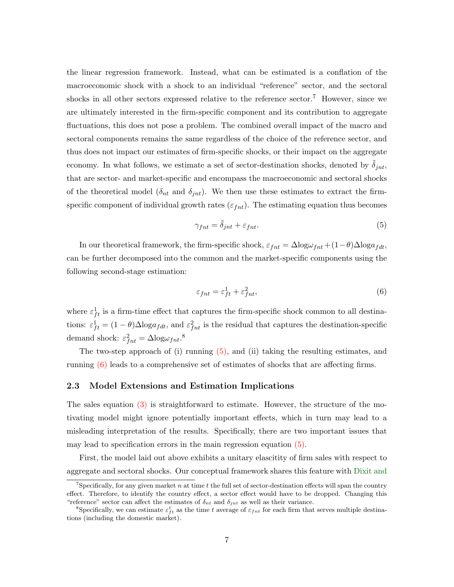the linear regression framework. Instead, what can be estimated is a conflation of the macroeconomic shock with a shock to an individual "reference" sector, and the sectoral shocks in all other sectors expressed relative to the reference sector.<sup>7</sup> However, since we are ultimately interested in the firm-specific component and its contribution to aggregate fluctuations, this does not pose a problem. The combined overall impact of the macro and sectoral components remains the same regardless of the choice of the reference sector, and thus does not impact our estimates of firm-specific shocks, or their impact on the aggregate economy. In what follows, we estimate a set of sector-destination shocks, denoted by  $\tilde{\delta}_{int}$ , that are sector- and market-specific and encompass the macroeconomic and sectoral shocks of the theoretical model ( $\delta_{nt}$  and  $\delta_{int}$ ). We then use these estimates to extract the firmspecific component of individual growth rates  $(\varepsilon_{fnt})$ . The estimating equation thus becomes

<span id="page-8-0"></span>
$$
\gamma_{fnt} = \tilde{\delta}_{jnt} + \varepsilon_{fnt}.\tag{5}
$$

In our theoretical framework, the firm-specific shock,  $\varepsilon_{fnt} = \Delta \log \omega_{fnt} + (1-\theta) \Delta \log a_{fdt}$ , can be further decomposed into the common and the market-specific components using the following second-stage estimation:

<span id="page-8-1"></span>
$$
\varepsilon_{fnt} = \varepsilon_{ft}^1 + \varepsilon_{fnt}^2,\tag{6}
$$

where  $\varepsilon_{ft}^1$  is a firm-time effect that captures the firm-specific shock common to all destinations:  $\varepsilon_{ft}^1 = (1 - \theta) \Delta \log a_{fdt}$ , and  $\varepsilon_{fnt}^2$  is the residual that captures the destination-specific demand shock:  $\varepsilon_{fnt}^2 = \Delta \log \omega_{fnt}$ .<sup>8</sup>

The two-step approach of (i) running [\(5\),](#page-8-0) and (ii) taking the resulting estimates, and running [\(6\)](#page-8-1) leads to a comprehensive set of estimates of shocks that are affecting firms.

#### 2.3 Model Extensions and Estimation Implications

The sales equation [\(3\)](#page-7-0) is straightforward to estimate. However, the structure of the motivating model might ignore potentially important effects, which in turn may lead to a misleading interpretation of the results. Specifically, there are two important issues that may lead to specification errors in the main regression equation [\(5\).](#page-8-0)

First, the model laid out above exhibits a unitary elascitity of firm sales with respect to aggregate and sectoral shocks. Our conceptual framework shares this feature with [Dixit and](#page-32-11)

 $^7$ Specifically, for any given market n at time t [the full set of sector-destination effects will span the country](#page-32-11) [effect. Therefore, to identify the country effect, a sector effect would have to be dropped. Changing this](#page-32-11) ["reference" sector can affect the estimates of](#page-32-11)  $\delta_{nt}$  and  $\delta_{int}$  as well as their variance.

<sup>&</sup>lt;sup>8</sup>Specifically, we can estimate  $\varepsilon_{ft}^1$  as the time t average of  $\varepsilon_{fnt}$  [for each firm that serves multiple destina](#page-32-11)[tions \(including the domestic market\).](#page-32-11)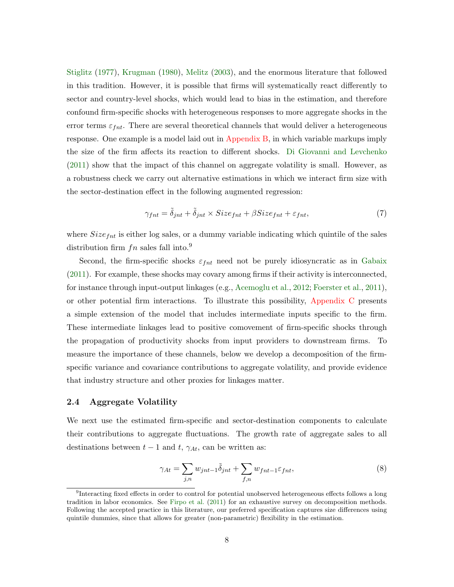[Stiglitz](#page-32-11) [\(1977\)](#page-32-11), [Krugman](#page-33-12) [\(1980\)](#page-33-12), [Melitz](#page-33-6) [\(2003\)](#page-33-6), and the enormous literature that followed in this tradition. However, it is possible that firms will systematically react differently to sector and country-level shocks, which would lead to bias in the estimation, and therefore confound firm-specific shocks with heterogeneous responses to more aggregate shocks in the error terms  $\varepsilon_{fnt}$ . There are several theoretical channels that would deliver a heterogeneous response. One example is a model laid out in [Appendix B,](#page-27-0) in which variable markups imply the size of the firm affects its reaction to different shocks. [Di Giovanni and Levchenko](#page-32-6) [\(2011\)](#page-32-6) show that the impact of this channel on aggregate volatility is small. However, as a robustness check we carry out alternative estimations in which we interact firm size with the sector-destination effect in the following augmented regression:

<span id="page-9-2"></span>
$$
\gamma_{fnt} = \tilde{\delta}_{jnt} + \tilde{\delta}_{jnt} \times Size_{fnt} + \beta Size_{fnt} + \varepsilon_{fnt},\tag{7}
$$

where  $Size_{fnt}$  is either log sales, or a dummy variable indicating which quintile of the sales distribution firm  $fn$  sales fall into.<sup>9</sup>

Second, the firm-specific shocks  $\varepsilon_{fnt}$  need not be purely idiosyncratic as in [Gabaix](#page-33-0) [\(2011\)](#page-33-0). For example, these shocks may covary among firms if their activity is interconnected, for instance through input-output linkages (e.g., [Acemoglu et al.,](#page-32-0) [2012;](#page-32-0) [Foerster et al.,](#page-33-5) [2011\)](#page-33-5), or other potential firm interactions. To illustrate this possibility, [Appendix C](#page-29-0) presents a simple extension of the model that includes intermediate inputs specific to the firm. These intermediate linkages lead to positive comovement of firm-specific shocks through the propagation of productivity shocks from input providers to downstream firms. To measure the importance of these channels, below we develop a decomposition of the firmspecific variance and covariance contributions to aggregate volatility, and provide evidence that industry structure and other proxies for linkages matter.

#### <span id="page-9-1"></span>2.4 Aggregate Volatility

We next use the estimated firm-specific and sector-destination components to calculate their contributions to aggregate fluctuations. The growth rate of aggregate sales to all destinations between  $t-1$  and  $t$ ,  $\gamma_{At}$ , can be written as:

<span id="page-9-0"></span>
$$
\gamma_{At} = \sum_{j,n} w_{jnt-1} \tilde{\delta}_{jnt} + \sum_{f,n} w_{fnt-1} \varepsilon_{fnt},\tag{8}
$$

<sup>&</sup>lt;sup>9</sup>Interacting fixed effects in order to control for potential unobserved heterogeneous effects follows a long tradition in labor economics. See [Firpo et al.](#page-33-13) [\(2011\)](#page-33-13) for an exhaustive survey on decomposition methods. Following the accepted practice in this literature, our preferred specification captures size differences using quintile dummies, since that allows for greater (non-parametric) flexibility in the estimation.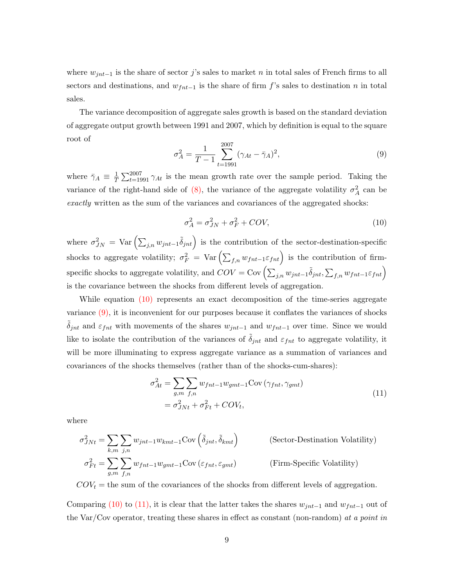where  $w_{jnt-1}$  is the share of sector j's sales to market n in total sales of French firms to all sectors and destinations, and  $w_{fnt-1}$  is the share of firm f's sales to destination n in total sales.

The variance decomposition of aggregate sales growth is based on the standard deviation of aggregate output growth between 1991 and 2007, which by definition is equal to the square root of

<span id="page-10-1"></span>
$$
\sigma_A^2 = \frac{1}{T - 1} \sum_{t=1991}^{2007} (\gamma_{At} - \bar{\gamma}_A)^2,
$$
\n(9)

where  $\bar{\gamma}_A \equiv \frac{1}{7}$  $\frac{1}{T} \sum_{t=1991}^{2007} \gamma_{At}$  is the mean growth rate over the sample period. Taking the variance of the right-hand side of [\(8\),](#page-9-0) the variance of the aggregate volatility  $\sigma_A^2$  can be exactly written as the sum of the variances and covariances of the aggregated shocks:

<span id="page-10-0"></span>
$$
\sigma_A^2 = \sigma_{JN}^2 + \sigma_F^2 + COV,\tag{10}
$$

where  $\sigma_{JN}^2 = \text{Var}\left(\sum_{j,n} w_{jnt-1} \tilde{\delta}_{jnt}\right)$  is the contribution of the sector-destination-specific shocks to aggregate volatility;  $\sigma_F^2 = \text{Var}\left(\sum_{f,n} w_{fnt-1} \varepsilon_{fnt}\right)$  is the contribution of firmspecific shocks to aggregate volatility, and  $COV = \text{Cov} \left( \sum_{j,n} w_{jnt-1} \tilde{\delta}_{jnt}, \sum_{f,n} w_{fnt-1} \varepsilon_{fnt} \right)$ is the covariance between the shocks from different levels of aggregation.

While equation [\(10\)](#page-10-0) represents an exact decomposition of the time-series aggregate variance [\(9\),](#page-10-1) it is inconvenient for our purposes because it conflates the variances of shocks  $\delta_{jnt}$  and  $\varepsilon_{fnt}$  with movements of the shares  $w_{jnt-1}$  and  $w_{fnt-1}$  over time. Since we would like to isolate the contribution of the variances of  $\tilde{\delta}_{int}$  and  $\varepsilon_{fnt}$  to aggregate volatility, it will be more illuminating to express aggregate variance as a summation of variances and covariances of the shocks themselves (rather than of the shocks-cum-shares):

$$
\sigma_{At}^{2} = \sum_{g,m} \sum_{f,n} w_{fnt-1} w_{gmt-1} \text{Cov} \left( \gamma_{fnt}, \gamma_{gmt} \right)
$$
  
=  $\sigma_{JNt}^{2} + \sigma_{Ft}^{2} + \text{COV}_{t},$  (11)

<span id="page-10-2"></span>where

$$
\sigma_{JNt}^{2} = \sum_{k,m} \sum_{j,n} w_{jnt-1} w_{kmt-1} \text{Cov}\left(\tilde{\delta}_{jnt}, \tilde{\delta}_{kmt}\right)
$$
 (Sector-Destination Volatility)  

$$
\sigma_{Ft}^{2} = \sum_{g,m} \sum_{f,n} w_{fnt-1} w_{gmt-1} \text{Cov}\left(\varepsilon_{fnt}, \varepsilon_{gmt}\right)
$$
 (Firm-Specific Volatility)

 $COV<sub>t</sub>$  = the sum of the covariances of the shocks from different levels of aggregation.

Comparing [\(10\)](#page-10-0) to [\(11\),](#page-10-2) it is clear that the latter takes the shares  $w_{jnt-1}$  and  $w_{fnt-1}$  out of the Var/Cov operator, treating these shares in effect as constant (non-random) at a point in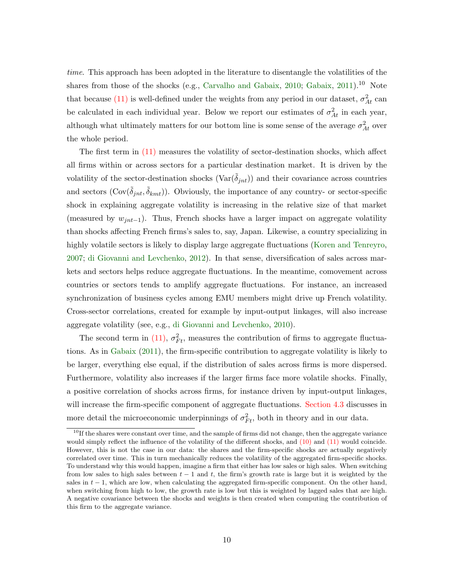time. This approach has been adopted in the literature to disentangle the volatilities of the shares from those of the shocks (e.g., [Carvalho and Gabaix,](#page-32-2) [2010;](#page-32-2) [Gabaix,](#page-33-0)  $2011$ ).<sup>10</sup> Note that because [\(11\)](#page-10-2) is well-defined under the weights from any period in our dataset,  $\sigma_{At}^2$  can be calculated in each individual year. Below we report our estimates of  $\sigma_{At}^2$  in each year, although what ultimately matters for our bottom line is some sense of the average  $\sigma_{At}^2$  over the whole period.

The first term in [\(11\)](#page-10-2) measures the volatility of sector-destination shocks, which affect all firms within or across sectors for a particular destination market. It is driven by the volatility of the sector-destination shocks  $(\text{Var}(\tilde{\delta}_{int}))$  and their covariance across countries and sectors  $(\text{Cov}(\tilde{\delta}_{jnt}, \tilde{\delta}_{kmt}))$ . Obviously, the importance of any country- or sector-specific shock in explaining aggregate volatility is increasing in the relative size of that market (measured by  $w_{jnt-1}$ ). Thus, French shocks have a larger impact on aggregate volatility than shocks affecting French firms's sales to, say, Japan. Likewise, a country specializing in highly volatile sectors is likely to display large aggregate fluctuations [\(Koren and Tenreyro,](#page-33-14) [2007;](#page-33-14) [di Giovanni and Levchenko,](#page-32-12) [2012\)](#page-32-12). In that sense, diversification of sales across markets and sectors helps reduce aggregate fluctuations. In the meantime, comovement across countries or sectors tends to amplify aggregate fluctuations. For instance, an increased synchronization of business cycles among EMU members might drive up French volatility. Cross-sector correlations, created for example by input-output linkages, will also increase aggregate volatility (see, e.g., [di Giovanni and Levchenko,](#page-32-13) [2010\)](#page-32-13).

The second term in [\(11\),](#page-10-2)  $\sigma_{Ft}^2$ , measures the contribution of firms to aggregate fluctuations. As in [Gabaix](#page-33-0) [\(2011\)](#page-33-0), the firm-specific contribution to aggregate volatility is likely to be larger, everything else equal, if the distribution of sales across firms is more dispersed. Furthermore, volatility also increases if the larger firms face more volatile shocks. Finally, a positive correlation of shocks across firms, for instance driven by input-output linkages, will increase the firm-specific component of aggregate fluctuations. [Section 4.3](#page-19-0) discusses in more detail the microeconomic underpinnings of  $\sigma_{Ft}^2$ , both in theory and in our data.

<sup>&</sup>lt;sup>10</sup>If the shares were constant over time, and the sample of firms did not change, then the aggregate variance would simply reflect the influence of the volatility of the different shocks, and  $(10)$  and  $(11)$  would coincide. However, this is not the case in our data: the shares and the firm-specific shocks are actually negatively correlated over time. This in turn mechanically reduces the volatility of the aggregated firm-specific shocks. To understand why this would happen, imagine a firm that either has low sales or high sales. When switching from low sales to high sales between  $t - 1$  and t, the firm's growth rate is large but it is weighted by the sales in  $t - 1$ , which are low, when calculating the aggregated firm-specific component. On the other hand, when switching from high to low, the growth rate is low but this is weighted by lagged sales that are high. A negative covariance between the shocks and weights is then created when computing the contribution of this firm to the aggregate variance.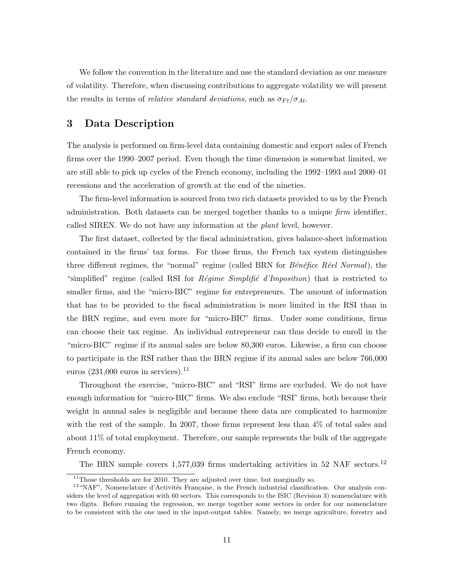We follow the convention in the literature and use the standard deviation as our measure of volatility. Therefore, when discussing contributions to aggregate volatility we will present the results in terms of *relative standard deviations*, such as  $\sigma_{Ft}/\sigma_{At}$ .

## <span id="page-12-0"></span>3 Data Description

The analysis is performed on firm-level data containing domestic and export sales of French firms over the 1990–2007 period. Even though the time dimension is somewhat limited, we are still able to pick up cycles of the French economy, including the 1992–1993 and 2000–01 recessions and the acceleration of growth at the end of the nineties.

The firm-level information is sourced from two rich datasets provided to us by the French administration. Both datasets can be merged together thanks to a unique  $\lim_{m \to \infty}$  identifier, called SIREN. We do not have any information at the plant level, however.

The first dataset, collected by the fiscal administration, gives balance-sheet information contained in the firms' tax forms. For those firms, the French tax system distinguishes three different regimes, the "normal" regime (called BRN for  $B\acute{e}n\acute{e}fice$  R $\acute{e}el$  Normal), the "simplified" regime (called RSI for *Régime Simplifié d'Imposition*) that is restricted to smaller firms, and the "micro-BIC" regime for entrepreneurs. The amount of information that has to be provided to the fiscal administration is more limited in the RSI than in the BRN regime, and even more for "micro-BIC" firms. Under some conditions, firms can choose their tax regime. An individual entrepreneur can thus decide to enroll in the "micro-BIC" regime if its annual sales are below 80,300 euros. Likewise, a firm can choose to participate in the RSI rather than the BRN regime if its annual sales are below 766,000 euros  $(231,000$  euros in services).<sup>11</sup>

Throughout the exercise, "micro-BIC" and "RSI" firms are excluded. We do not have enough information for "micro-BIC" firms. We also exclude "RSI" firms, both because their weight in annual sales is negligible and because these data are complicated to harmonize with the rest of the sample. In 2007, those firms represent less than 4% of total sales and about 11% of total employment. Therefore, our sample represents the bulk of the aggregate French economy.

The BRN sample covers  $1,577,039$  firms undertaking activities in 52 NAF sectors.<sup>12</sup>

 $11$ Those thresholds are for 2010. They are adjusted over time, but marginally so.

 $12 \text{ "NAF"}$ , Nomenclature d'Activités Française, is the French industrial classification. Our analysis considers the level of aggregation with 60 sectors. This corresponds to the ISIC (Revision 3) nomenclature with two digits. Before running the regression, we merge together some sectors in order for our nomenclature to be consistent with the one used in the input-output tables. Namely, we merge agriculture, forestry and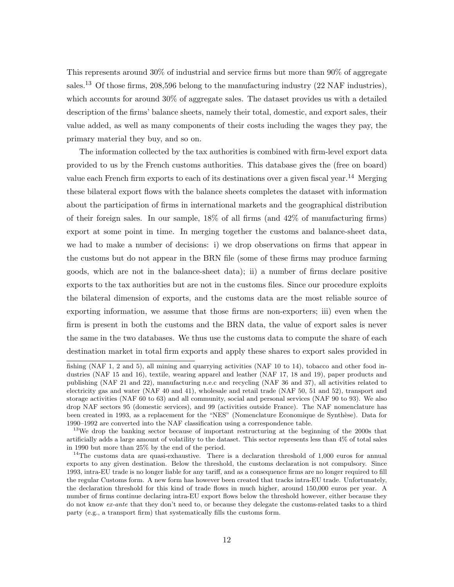This represents around 30% of industrial and service firms but more than 90% of aggregate sales.<sup>13</sup> Of those firms, 208,596 belong to the manufacturing industry  $(22 \text{ NAF}$  industries), which accounts for around 30% of aggregate sales. The dataset provides us with a detailed description of the firms' balance sheets, namely their total, domestic, and export sales, their value added, as well as many components of their costs including the wages they pay, the primary material they buy, and so on.

The information collected by the tax authorities is combined with firm-level export data provided to us by the French customs authorities. This database gives the (free on board) value each French firm exports to each of its destinations over a given fiscal year.<sup>14</sup> Merging these bilateral export flows with the balance sheets completes the dataset with information about the participation of firms in international markets and the geographical distribution of their foreign sales. In our sample, 18% of all firms (and 42% of manufacturing firms) export at some point in time. In merging together the customs and balance-sheet data, we had to make a number of decisions: i) we drop observations on firms that appear in the customs but do not appear in the BRN file (some of these firms may produce farming goods, which are not in the balance-sheet data); ii) a number of firms declare positive exports to the tax authorities but are not in the customs files. Since our procedure exploits the bilateral dimension of exports, and the customs data are the most reliable source of exporting information, we assume that those firms are non-exporters; iii) even when the firm is present in both the customs and the BRN data, the value of export sales is never the same in the two databases. We thus use the customs data to compute the share of each destination market in total firm exports and apply these shares to export sales provided in

fishing (NAF 1, 2 and 5), all mining and quarrying activities (NAF 10 to 14), tobacco and other food industries (NAF 15 and 16), textile, wearing apparel and leather (NAF 17, 18 and 19), paper products and publishing (NAF 21 and 22), manufacturing n.e.c and recycling (NAF 36 and 37), all activities related to electricity gas and water (NAF 40 and 41), wholesale and retail trade (NAF 50, 51 and 52), transport and storage activities (NAF 60 to 63) and all community, social and personal services (NAF 90 to 93). We also drop NAF sectors 95 (domestic services), and 99 (activities outside France). The NAF nomenclature has been created in 1993, as a replacement for the "NES" (Nomenclature Economique de Synthèse). Data for 1990–1992 are converted into the NAF classification using a correspondence table.

<sup>&</sup>lt;sup>13</sup>We drop the banking sector because of important restructuring at the beginning of the 2000s that artificially adds a large amount of volatility to the dataset. This sector represents less than 4% of total sales in 1990 but more than 25% by the end of the period.

<sup>&</sup>lt;sup>14</sup>The customs data are quasi-exhaustive. There is a declaration threshold of 1,000 euros for annual exports to any given destination. Below the threshold, the customs declaration is not compulsory. Since 1993, intra-EU trade is no longer liable for any tariff, and as a consequence firms are no longer required to fill the regular Customs form. A new form has however been created that tracks intra-EU trade. Unfortunately, the declaration threshold for this kind of trade flows in much higher, around 150,000 euros per year. A number of firms continue declaring intra-EU export flows below the threshold however, either because they do not know ex-ante that they don't need to, or because they delegate the customs-related tasks to a third party (e.g., a transport firm) that systematically fills the customs form.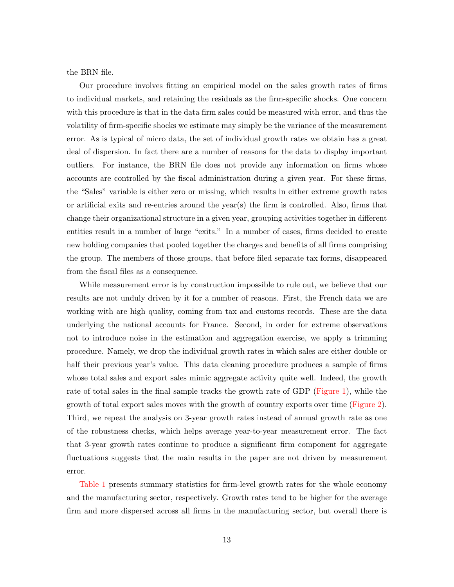the BRN file.

Our procedure involves fitting an empirical model on the sales growth rates of firms to individual markets, and retaining the residuals as the firm-specific shocks. One concern with this procedure is that in the data firm sales could be measured with error, and thus the volatility of firm-specific shocks we estimate may simply be the variance of the measurement error. As is typical of micro data, the set of individual growth rates we obtain has a great deal of dispersion. In fact there are a number of reasons for the data to display important outliers. For instance, the BRN file does not provide any information on firms whose accounts are controlled by the fiscal administration during a given year. For these firms, the "Sales" variable is either zero or missing, which results in either extreme growth rates or artificial exits and re-entries around the year(s) the firm is controlled. Also, firms that change their organizational structure in a given year, grouping activities together in different entities result in a number of large "exits." In a number of cases, firms decided to create new holding companies that pooled together the charges and benefits of all firms comprising the group. The members of those groups, that before filed separate tax forms, disappeared from the fiscal files as a consequence.

While measurement error is by construction impossible to rule out, we believe that our results are not unduly driven by it for a number of reasons. First, the French data we are working with are high quality, coming from tax and customs records. These are the data underlying the national accounts for France. Second, in order for extreme observations not to introduce noise in the estimation and aggregation exercise, we apply a trimming procedure. Namely, we drop the individual growth rates in which sales are either double or half their previous year's value. This data cleaning procedure produces a sample of firms whose total sales and export sales mimic aggregate activity quite well. Indeed, the growth rate of total sales in the final sample tracks the growth rate of GDP [\(Figure 1\)](#page-39-0), while the growth of total export sales moves with the growth of country exports over time [\(Figure 2\)](#page-40-0). Third, we repeat the analysis on 3-year growth rates instead of annual growth rate as one of the robustness checks, which helps average year-to-year measurement error. The fact that 3-year growth rates continue to produce a significant firm component for aggregate fluctuations suggests that the main results in the paper are not driven by measurement error.

[Table 1](#page-34-0) presents summary statistics for firm-level growth rates for the whole economy and the manufacturing sector, respectively. Growth rates tend to be higher for the average firm and more dispersed across all firms in the manufacturing sector, but overall there is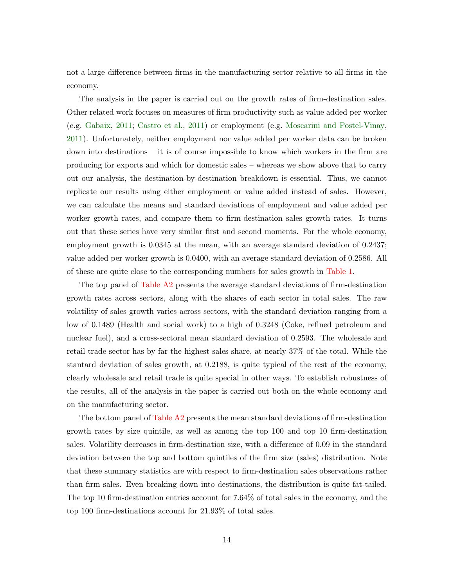not a large difference between firms in the manufacturing sector relative to all firms in the economy.

The analysis in the paper is carried out on the growth rates of firm-destination sales. Other related work focuses on measures of firm productivity such as value added per worker (e.g. [Gabaix,](#page-33-0) [2011;](#page-33-0) [Castro et al.,](#page-32-4) [2011\)](#page-32-4) or employment (e.g. [Moscarini and Postel-Vinay,](#page-33-9) [2011\)](#page-33-9). Unfortunately, neither employment nor value added per worker data can be broken down into destinations – it is of course impossible to know which workers in the firm are producing for exports and which for domestic sales – whereas we show above that to carry out our analysis, the destination-by-destination breakdown is essential. Thus, we cannot replicate our results using either employment or value added instead of sales. However, we can calculate the means and standard deviations of employment and value added per worker growth rates, and compare them to firm-destination sales growth rates. It turns out that these series have very similar first and second moments. For the whole economy, employment growth is 0.0345 at the mean, with an average standard deviation of 0.2437; value added per worker growth is 0.0400, with an average standard deviation of 0.2586. All of these are quite close to the corresponding numbers for sales growth in [Table 1.](#page-34-0)

The top panel of [Table A2](#page-46-0) presents the average standard deviations of firm-destination growth rates across sectors, along with the shares of each sector in total sales. The raw volatility of sales growth varies across sectors, with the standard deviation ranging from a low of 0.1489 (Health and social work) to a high of 0.3248 (Coke, refined petroleum and nuclear fuel), and a cross-sectoral mean standard deviation of 0.2593. The wholesale and retail trade sector has by far the highest sales share, at nearly 37% of the total. While the stantard deviation of sales growth, at 0.2188, is quite typical of the rest of the economy, clearly wholesale and retail trade is quite special in other ways. To establish robustness of the results, all of the analysis in the paper is carried out both on the whole economy and on the manufacturing sector.

The bottom panel of [Table A2](#page-46-0) presents the mean standard deviations of firm-destination growth rates by size quintile, as well as among the top 100 and top 10 firm-destination sales. Volatility decreases in firm-destination size, with a difference of 0.09 in the standard deviation between the top and bottom quintiles of the firm size (sales) distribution. Note that these summary statistics are with respect to firm-destination sales observations rather than firm sales. Even breaking down into destinations, the distribution is quite fat-tailed. The top 10 firm-destination entries account for 7.64% of total sales in the economy, and the top 100 firm-destinations account for 21.93% of total sales.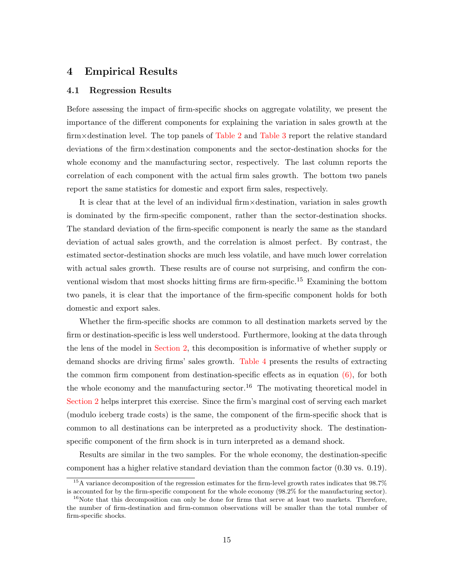### <span id="page-16-0"></span>4 Empirical Results

#### 4.1 Regression Results

Before assessing the impact of firm-specific shocks on aggregate volatility, we present the importance of the different components for explaining the variation in sales growth at the firm×destination level. The top panels of [Table 2](#page-35-0) and [Table 3](#page-36-0) report the relative standard deviations of the firm×destination components and the sector-destination shocks for the whole economy and the manufacturing sector, respectively. The last column reports the correlation of each component with the actual firm sales growth. The bottom two panels report the same statistics for domestic and export firm sales, respectively.

It is clear that at the level of an individual firm×destination, variation in sales growth is dominated by the firm-specific component, rather than the sector-destination shocks. The standard deviation of the firm-specific component is nearly the same as the standard deviation of actual sales growth, and the correlation is almost perfect. By contrast, the estimated sector-destination shocks are much less volatile, and have much lower correlation with actual sales growth. These results are of course not surprising, and confirm the conventional wisdom that most shocks hitting firms are firm-specific.<sup>15</sup> Examining the bottom two panels, it is clear that the importance of the firm-specific component holds for both domestic and export sales.

Whether the firm-specific shocks are common to all destination markets served by the firm or destination-specific is less well understood. Furthermore, looking at the data through the lens of the model in [Section 2,](#page-5-0) this decomposition is informative of whether supply or demand shocks are driving firms' sales growth. [Table 4](#page-37-0) presents the results of extracting the common firm component from destination-specific effects as in equation  $(6)$ , for both the whole economy and the manufacturing sector.<sup>16</sup> The motivating theoretical model in [Section 2](#page-5-0) helps interpret this exercise. Since the firm's marginal cost of serving each market (modulo iceberg trade costs) is the same, the component of the firm-specific shock that is common to all destinations can be interpreted as a productivity shock. The destinationspecific component of the firm shock is in turn interpreted as a demand shock.

Results are similar in the two samples. For the whole economy, the destination-specific component has a higher relative standard deviation than the common factor (0.30 vs. 0.19).

<sup>&</sup>lt;sup>15</sup>A variance decomposition of the regression estimates for the firm-level growth rates indicates that 98.7% is accounted for by the firm-specific component for the whole economy (98.2% for the manufacturing sector).

 $16$ Note that this decomposition can only be done for firms that serve at least two markets. Therefore, the number of firm-destination and firm-common observations will be smaller than the total number of firm-specific shocks.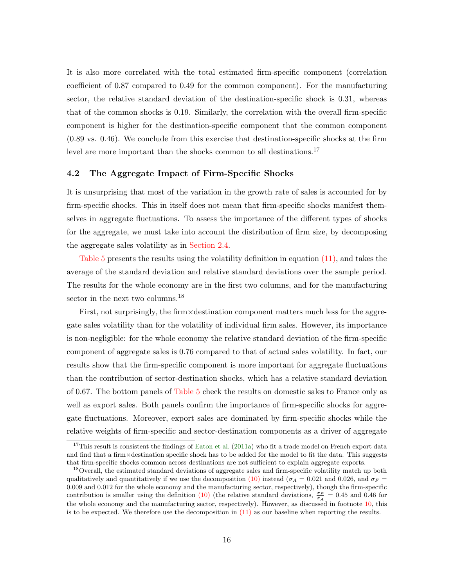It is also more correlated with the total estimated firm-specific component (correlation coefficient of 0.87 compared to 0.49 for the common component). For the manufacturing sector, the relative standard deviation of the destination-specific shock is 0.31, whereas that of the common shocks is 0.19. Similarly, the correlation with the overall firm-specific component is higher for the destination-specific component that the common component (0.89 vs. 0.46). We conclude from this exercise that destination-specific shocks at the firm level are more important than the shocks common to all destinations.<sup>17</sup>

#### <span id="page-17-0"></span>4.2 The Aggregate Impact of Firm-Specific Shocks

It is unsurprising that most of the variation in the growth rate of sales is accounted for by firm-specific shocks. This in itself does not mean that firm-specific shocks manifest themselves in aggregate fluctuations. To assess the importance of the different types of shocks for the aggregate, we must take into account the distribution of firm size, by decomposing the aggregate sales volatility as in [Section 2.4.](#page-9-1)

[Table 5](#page-38-0) presents the results using the volatility definition in equation [\(11\),](#page-10-2) and takes the average of the standard deviation and relative standard deviations over the sample period. The results for the whole economy are in the first two columns, and for the manufacturing sector in the next two columns.<sup>18</sup>

First, not surprisingly, the firm×destination component matters much less for the aggregate sales volatility than for the volatility of individual firm sales. However, its importance is non-negligible: for the whole economy the relative standard deviation of the firm-specific component of aggregate sales is 0.76 compared to that of actual sales volatility. In fact, our results show that the firm-specific component is more important for aggregate fluctuations than the contribution of sector-destination shocks, which has a relative standard deviation of 0.67. The bottom panels of [Table 5](#page-38-0) check the results on domestic sales to France only as well as export sales. Both panels confirm the importance of firm-specific shocks for aggregate fluctuations. Moreover, export sales are dominated by firm-specific shocks while the relative weights of firm-specific and sector-destination components as a driver of aggregate

<sup>&</sup>lt;sup>17</sup>This result is consistent the findings of [Eaton et al.](#page-32-3)  $(2011a)$  who fit a trade model on French export data and find that a firm×destination specific shock has to be added for the model to fit the data. This suggests that firm-specific shocks common across destinations are not sufficient to explain aggregate exports.

<sup>&</sup>lt;sup>18</sup>Overall, the estimated standard deviations of aggregate sales and firm-specific volatility match up both qualitatively and quantitatively if we use the decomposition [\(10\)](#page-10-0) instead ( $\sigma_A = 0.021$  and 0.026, and  $\sigma_F =$ 0.009 and 0.012 for the whole economy and the manufacturing sector, respectively), though the firm-specific contribution is smaller using the definition [\(10\)](#page-10-0) (the relative standard deviations,  $\frac{\sigma_F}{\sigma_A} = 0.45$  and 0.46 for the whole economy and the manufacturing sector, respectively). However, as discussed in footnote [10,](#page-10-2) this is to be expected. We therefore use the decomposition in  $(11)$  as our baseline when reporting the results.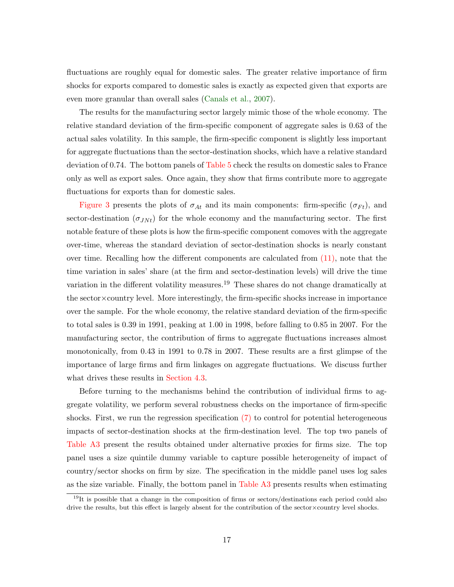fluctuations are roughly equal for domestic sales. The greater relative importance of firm shocks for exports compared to domestic sales is exactly as expected given that exports are even more granular than overall sales [\(Canals et al.,](#page-32-5) [2007\)](#page-32-5).

The results for the manufacturing sector largely mimic those of the whole economy. The relative standard deviation of the firm-specific component of aggregate sales is 0.63 of the actual sales volatility. In this sample, the firm-specific component is slightly less important for aggregate fluctuations than the sector-destination shocks, which have a relative standard deviation of 0.74. The bottom panels of [Table 5](#page-38-0) check the results on domestic sales to France only as well as export sales. Once again, they show that firms contribute more to aggregate fluctuations for exports than for domestic sales.

[Figure 3](#page-41-0) presents the plots of  $\sigma_{At}$  and its main components: firm-specific ( $\sigma_{Ft}$ ), and sector-destination  $(\sigma_{JNt})$  for the whole economy and the manufacturing sector. The first notable feature of these plots is how the firm-specific component comoves with the aggregate over-time, whereas the standard deviation of sector-destination shocks is nearly constant over time. Recalling how the different components are calculated from [\(11\),](#page-10-2) note that the time variation in sales' share (at the firm and sector-destination levels) will drive the time variation in the different volatility measures.<sup>19</sup> These shares do not change dramatically at the sector×country level. More interestingly, the firm-specific shocks increase in importance over the sample. For the whole economy, the relative standard deviation of the firm-specific to total sales is 0.39 in 1991, peaking at 1.00 in 1998, before falling to 0.85 in 2007. For the manufacturing sector, the contribution of firms to aggregate fluctuations increases almost monotonically, from 0.43 in 1991 to 0.78 in 2007. These results are a first glimpse of the importance of large firms and firm linkages on aggregate fluctuations. We discuss further what drives these results in [Section 4.3.](#page-19-0)

Before turning to the mechanisms behind the contribution of individual firms to aggregate volatility, we perform several robustness checks on the importance of firm-specific shocks. First, we run the regression specification [\(7\)](#page-9-2) to control for potential heterogeneous impacts of sector-destination shocks at the firm-destination level. The top two panels of [Table A3](#page-47-0) present the results obtained under alternative proxies for firms size. The top panel uses a size quintile dummy variable to capture possible heterogeneity of impact of country/sector shocks on firm by size. The specification in the middle panel uses log sales as the size variable. Finally, the bottom panel in [Table A3](#page-47-0) presents results when estimating

<sup>&</sup>lt;sup>19</sup>It is possible that a change in the composition of firms or sectors/destinations each period could also drive the results, but this effect is largely absent for the contribution of the sector×country level shocks.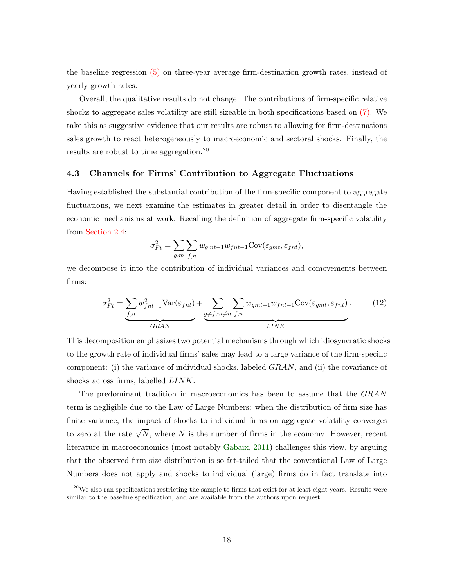the baseline regression [\(5\)](#page-8-0) on three-year average firm-destination growth rates, instead of yearly growth rates.

Overall, the qualitative results do not change. The contributions of firm-specific relative shocks to aggregate sales volatility are still sizeable in both specifications based on [\(7\).](#page-9-2) We take this as suggestive evidence that our results are robust to allowing for firm-destinations sales growth to react heterogeneously to macroeconomic and sectoral shocks. Finally, the results are robust to time aggregation.<sup>20</sup>

#### <span id="page-19-0"></span>4.3 Channels for Firms' Contribution to Aggregate Fluctuations

Having established the substantial contribution of the firm-specific component to aggregate fluctuations, we next examine the estimates in greater detail in order to disentangle the economic mechanisms at work. Recalling the definition of aggregate firm-specific volatility from [Section 2.4:](#page-9-1)

$$
\sigma_{Ft}^2 = \sum_{g,m} \sum_{f,n} w_{gmt-1} w_{fnt-1} \text{Cov}(\varepsilon_{gmt}, \varepsilon_{fnt}),
$$

we decompose it into the contribution of individual variances and comovements between firms:

<span id="page-19-1"></span>
$$
\sigma_{Ft}^2 = \underbrace{\sum_{f,n} w_{fnt-1}^2 \text{Var}(\varepsilon_{fnt})}_{GRAN} + \underbrace{\sum_{g \neq f,m \neq n} \sum_{f,n} w_{gmt-1} w_{fnt-1} \text{Cov}(\varepsilon_{gmt}, \varepsilon_{fnt})}_{LINK}.
$$
 (12)

This decomposition emphasizes two potential mechanisms through which idiosyncratic shocks to the growth rate of individual firms' sales may lead to a large variance of the firm-specific component: (i) the variance of individual shocks, labeled  $GRAN$ , and (ii) the covariance of shocks across firms, labelled LINK.

The predominant tradition in macroeconomics has been to assume that the GRAN term is negligible due to the Law of Large Numbers: when the distribution of firm size has finite variance, the impact of shocks to individual firms on aggregate volatility converges to zero at the rate  $\sqrt{N}$ , where N is the number of firms in the economy. However, recent literature in macroeconomics (most notably [Gabaix,](#page-33-0) [2011\)](#page-33-0) challenges this view, by arguing that the observed firm size distribution is so fat-tailed that the conventional Law of Large Numbers does not apply and shocks to individual (large) firms do in fact translate into

<sup>&</sup>lt;sup>20</sup>We also ran specifications restricting the sample to firms that exist for at least eight years. Results were similar to the baseline specification, and are available from the authors upon request.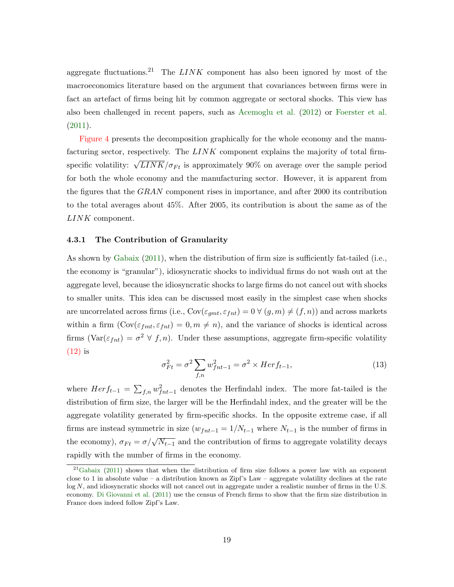aggregate fluctuations.<sup>21</sup> The  $LINK$  component has also been ignored by most of the macroeconomics literature based on the argument that covariances between firms were in fact an artefact of firms being hit by common aggregate or sectoral shocks. This view has also been challenged in recent papers, such as [Acemoglu et al.](#page-32-0) [\(2012\)](#page-32-0) or [Foerster et al.](#page-33-5) [\(2011\)](#page-33-5).

[Figure 4](#page-42-0) presents the decomposition graphically for the whole economy and the manufacturing sector, respectively. The LINK component explains the majority of total firmspecific volatility:  $\sqrt{LINK}/\sigma_{Ft}$  is approximately 90% on average over the sample period for both the whole economy and the manufacturing sector. However, it is apparent from the figures that the GRAN component rises in importance, and after 2000 its contribution to the total averages about 45%. After 2005, its contribution is about the same as of the LINK component.

#### 4.3.1 The Contribution of Granularity

As shown by [Gabaix](#page-33-0) [\(2011\)](#page-33-0), when the distribution of firm size is sufficiently fat-tailed (i.e., the economy is "granular"), idiosyncratic shocks to individual firms do not wash out at the aggregate level, because the idiosyncratic shocks to large firms do not cancel out with shocks to smaller units. This idea can be discussed most easily in the simplest case when shocks are uncorrelated across firms (i.e.,  $Cov(\varepsilon_{gmt}, \varepsilon_{fnt}) = 0 \ \forall \ (g, m) \neq (f, n)$ ) and across markets within a firm  $(\text{Cov}(\varepsilon_{fmt}, \varepsilon_{fnt}) = 0, m \neq n)$ , and the variance of shocks is identical across firms  $(\text{Var}(\varepsilon_{fnt}) = \sigma^2 \lor f, n)$ . Under these assumptions, aggregate firm-specific volatility [\(12\)](#page-19-1) is

$$
\sigma_{Ft}^2 = \sigma^2 \sum_{f,n} w_{fnt-1}^2 = \sigma^2 \times Herf_{t-1},
$$
\n(13)

where  $Herf_{t-1} = \sum_{f,n} w_{fnt-1}^2$  denotes the Herfindahl index. The more fat-tailed is the distribution of firm size, the larger will be the Herfindahl index, and the greater will be the aggregate volatility generated by firm-specific shocks. In the opposite extreme case, if all firms are instead symmetric in size  $(w_{fnt-1} = 1/N_{t-1}$  where  $N_{t-1}$  is the number of firms in the economy),  $\sigma_{Ft} = \sigma / \sqrt{N_{t-1}}$  and the contribution of firms to aggregate volatility decays rapidly with the number of firms in the economy.

 $^{21}$ [Gabaix](#page-33-0) [\(2011\)](#page-33-0) shows that when the distribution of firm size follows a power law with an exponent close to 1 in absolute value – a distribution known as Zipf's Law – aggregate volatility declines at the rate log N, and idiosyncratic shocks will not cancel out in aggregate under a realistic number of firms in the U.S. economy. [Di Giovanni et al.](#page-32-14) [\(2011\)](#page-32-14) use the census of French firms to show that the firm size distribution in France does indeed follow Zipf's Law.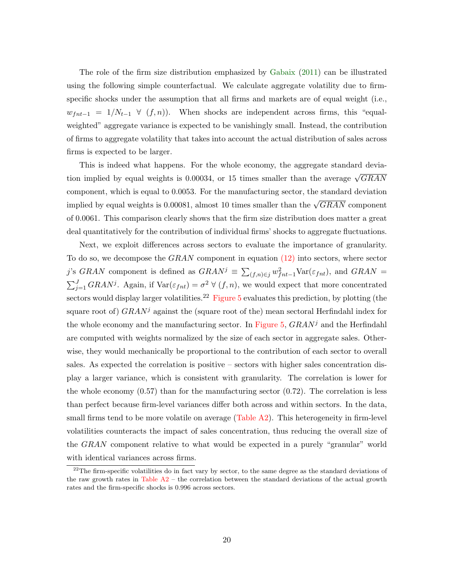The role of the firm size distribution emphasized by [Gabaix](#page-33-0) [\(2011\)](#page-33-0) can be illustrated using the following simple counterfactual. We calculate aggregate volatility due to firmspecific shocks under the assumption that all firms and markets are of equal weight (i.e.,  $w_{fnt-1} = 1/N_{t-1} \ \forall \ (f, n)$ . When shocks are independent across firms, this "equalweighted" aggregate variance is expected to be vanishingly small. Instead, the contribution of firms to aggregate volatility that takes into account the actual distribution of sales across firms is expected to be larger.

This is indeed what happens. For the whole economy, the aggregate standard deviation implied by equal weights is 0.00034, or 15 times smaller than the average  $\sqrt{GRAN}$ component, which is equal to 0.0053. For the manufacturing sector, the standard deviation implied by equal weights is 0.00081, almost 10 times smaller than the  $\sqrt{GRAN}$  component of 0.0061. This comparison clearly shows that the firm size distribution does matter a great deal quantitatively for the contribution of individual firms' shocks to aggregate fluctuations.

Next, we exploit differences across sectors to evaluate the importance of granularity. To do so, we decompose the  $GRAN$  component in equation  $(12)$  into sectors, where sector j's GRAN component is defined as  $GRAN^j \equiv \sum_{(f,n)\in j} w_{fnt-1}^2 \text{Var}(\varepsilon_{fnt})$ , and  $GRAN =$  $\sum_{j=1}^{J} GRAN^{j}$ . Again, if  $Var(\varepsilon_{fnt}) = \sigma^2 \vee (f, n)$ , we would expect that more concentrated sectors would display larger volatilities.<sup>22</sup> [Figure 5](#page-43-0) evaluates this prediction, by plotting (the square root of)  $GRAN<sup>j</sup>$  against the (square root of the) mean sectoral Herfindahl index for the whole economy and the manufacturing sector. In [Figure 5,](#page-43-0)  $GRAN<sup>j</sup>$  and the Herfindahl are computed with weights normalized by the size of each sector in aggregate sales. Otherwise, they would mechanically be proportional to the contribution of each sector to overall sales. As expected the correlation is positive – sectors with higher sales concentration display a larger variance, which is consistent with granularity. The correlation is lower for the whole economy  $(0.57)$  than for the manufacturing sector  $(0.72)$ . The correlation is less than perfect because firm-level variances differ both across and within sectors. In the data, small firms tend to be more volatile on average [\(Table A2\)](#page-46-0). This heterogeneity in firm-level volatilities counteracts the impact of sales concentration, thus reducing the overall size of the GRAN component relative to what would be expected in a purely "granular" world with identical variances across firms.

 $^{22}$ The firm-specific volatilities do in fact vary by sector, to the same degree as the standard deviations of the raw growth rates in Table  $A2$  – the correlation between the standard deviations of the actual growth rates and the firm-specific shocks is 0.996 across sectors.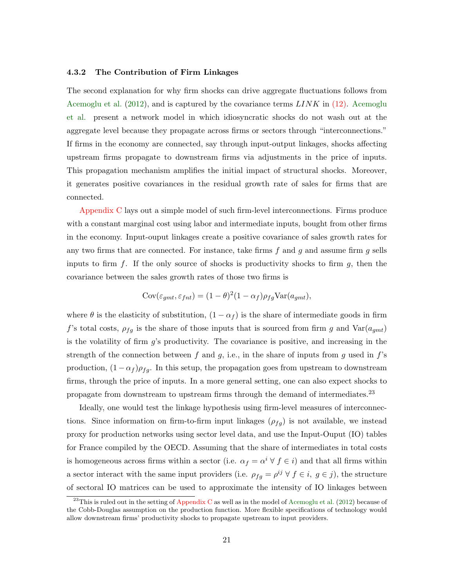#### <span id="page-22-0"></span>4.3.2 The Contribution of Firm Linkages

The second explanation for why firm shocks can drive aggregate fluctuations follows from [Acemoglu et al.](#page-32-0)  $(2012)$ , and is captured by the covariance terms  $LINK$  in  $(12)$ . [Acemoglu](#page-32-0) [et al.](#page-32-0) present a network model in which idiosyncratic shocks do not wash out at the aggregate level because they propagate across firms or sectors through "interconnections." If firms in the economy are connected, say through input-output linkages, shocks affecting upstream firms propagate to downstream firms via adjustments in the price of inputs. This propagation mechanism amplifies the initial impact of structural shocks. Moreover, it generates positive covariances in the residual growth rate of sales for firms that are connected.

[Appendix C](#page-29-0) lays out a simple model of such firm-level interconnections. Firms produce with a constant marginal cost using labor and intermediate inputs, bought from other firms in the economy. Input-ouput linkages create a positive covariance of sales growth rates for any two firms that are connected. For instance, take firms  $f$  and  $g$  and assume firm  $g$  sells inputs to firm  $f$ . If the only source of shocks is productivity shocks to firm  $g$ , then the covariance between the sales growth rates of those two firms is

$$
Cov(\varepsilon_{gmt}, \varepsilon_{fnt}) = (1 - \theta)^2 (1 - \alpha_f) \rho_{fg} \text{Var}(a_{gmt}),
$$

where  $\theta$  is the elasticity of substitution,  $(1 - \alpha_f)$  is the share of intermediate goods in firm f's total costs,  $\rho_{fg}$  is the share of those inputs that is sourced from firm g and  $Var(a_{gmt})$ is the volatility of firm  $g$ 's productivity. The covariance is positive, and increasing in the strength of the connection between f and g, i.e., in the share of inputs from g used in  $f$ 's production,  $(1 - \alpha_f)\rho_{fq}$ . In this setup, the propagation goes from upstream to downstream firms, through the price of inputs. In a more general setting, one can also expect shocks to propagate from downstream to upstream firms through the demand of intermediates.<sup>23</sup>

Ideally, one would test the linkage hypothesis using firm-level measures of interconnections. Since information on firm-to-firm input linkages  $(\rho_{fg})$  is not available, we instead proxy for production networks using sector level data, and use the Input-Ouput (IO) tables for France compiled by the OECD. Assuming that the share of intermediates in total costs is homogeneous across firms within a sector (i.e.  $\alpha_f = \alpha^i \forall f \in i$ ) and that all firms within a sector interact with the same input providers (i.e.  $\rho_{fg} = \rho^{ij} \forall f \in i, g \in j$ ), the structure of sectoral IO matrices can be used to approximate the intensity of IO linkages between

 $^{23}$ This is ruled out in the setting of [Appendix C](#page-29-0) as well as in the model of [Acemoglu et al.](#page-32-0) [\(2012\)](#page-32-0) because of the Cobb-Douglas assumption on the production function. More flexible specifications of technology would allow downstream firms' productivity shocks to propagate upstream to input providers.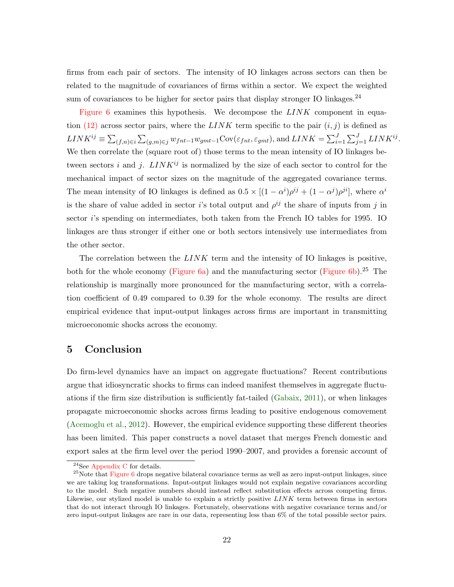firms from each pair of sectors. The intensity of IO linkages across sectors can then be related to the magnitude of covariances of firms within a sector. We expect the weighted sum of covariances to be higher for sector pairs that display stronger IO linkages.<sup>24</sup>

[Figure 6](#page-44-0) examines this hypothesis. We decompose the  $LINK$  component in equa-tion [\(12\)](#page-19-1) across sector pairs, where the  $LINK$  term specific to the pair  $(i, j)$  is defined as  $LINK^{ij} \equiv \sum_{(f,n)\in i} \sum_{(g,m)\in j} w_{fnt-1}w_{gmt-1}Cov(\varepsilon_{fnt}, \varepsilon_{gmt}),$  and  $LINK = \sum_{i=1}^{J} \sum_{j=1}^{J} LINK^{ij}$ . We then correlate the (square root of) those terms to the mean intensity of IO linkages between sectors i and j.  $LINK^{ij}$  is normalized by the size of each sector to control for the mechanical impact of sector sizes on the magnitude of the aggregated covariance terms. The mean intensity of IO linkages is defined as  $0.5 \times [(1 - \alpha^i)\rho^{ij} + (1 - \alpha^j)\rho^{ji}]$ , where  $\alpha^i$ is the share of value added in sector *i*'s total output and  $\rho^{ij}$  the share of inputs from j in sector i's spending on intermediates, both taken from the French IO tables for 1995. IO linkages are thus stronger if either one or both sectors intensively use intermediates from the other sector.

The correlation between the  $LINK$  term and the intensity of IO linkages is positive, both for the whole economy [\(Figure](#page-44-2) [6a](#page-44-0)) and the manufacturing sector (Figure [6b](#page-44-0)).<sup>25</sup> The relationship is marginally more pronounced for the manufacturing sector, with a correlation coefficient of 0.49 compared to 0.39 for the whole economy. The results are direct empirical evidence that input-output linkages across firms are important in transmitting microeconomic shocks across the economy.

## <span id="page-23-0"></span>5 Conclusion

Do firm-level dynamics have an impact on aggregate fluctuations? Recent contributions argue that idiosyncratic shocks to firms can indeed manifest themselves in aggregate fluctuations if the firm size distribution is sufficiently fat-tailed [\(Gabaix,](#page-33-0) [2011\)](#page-33-0), or when linkages propagate microeconomic shocks across firms leading to positive endogenous comovement [\(Acemoglu et al.,](#page-32-0) [2012\)](#page-32-0). However, the empirical evidence supporting these different theories has been limited. This paper constructs a novel dataset that merges French domestic and export sales at the firm level over the period 1990–2007, and provides a forensic account of

 $^{24}$ See [Appendix C](#page-29-0) for details.

 $^{25}$ Note that [Figure 6](#page-44-0) drops negative bilateral covariance terms as well as zero input-output linkages, since we are taking log transformations. Input-output linkages would not explain negative covariances according to the model. Such negative numbers should instead reflect substitution effects across competing firms. Likewise, our stylized model is unable to explain a strictly positive  $LINK$  term between firms in sectors that do not interact through IO linkages. Fortunately, observations with negative covariance terms and/or zero input-output linkages are rare in our data, representing less than 6% of the total possible sector pairs.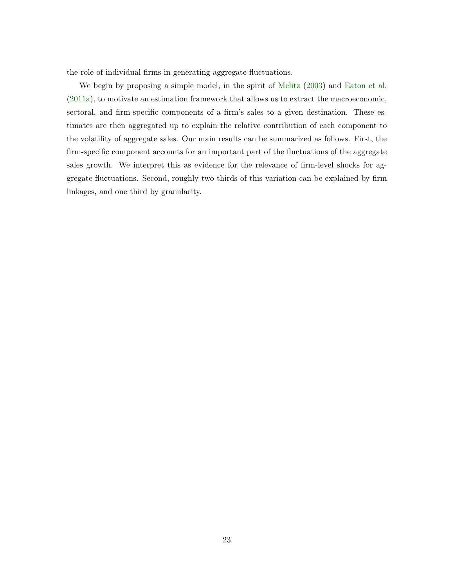the role of individual firms in generating aggregate fluctuations.

We begin by proposing a simple model, in the spirit of [Melitz](#page-33-6) [\(2003\)](#page-33-6) and [Eaton et al.](#page-32-3) [\(2011a\)](#page-32-3), to motivate an estimation framework that allows us to extract the macroeconomic, sectoral, and firm-specific components of a firm's sales to a given destination. These estimates are then aggregated up to explain the relative contribution of each component to the volatility of aggregate sales. Our main results can be summarized as follows. First, the firm-specific component accounts for an important part of the fluctuations of the aggregate sales growth. We interpret this as evidence for the relevance of firm-level shocks for aggregate fluctuations. Second, roughly two thirds of this variation can be explained by firm linkages, and one third by granularity.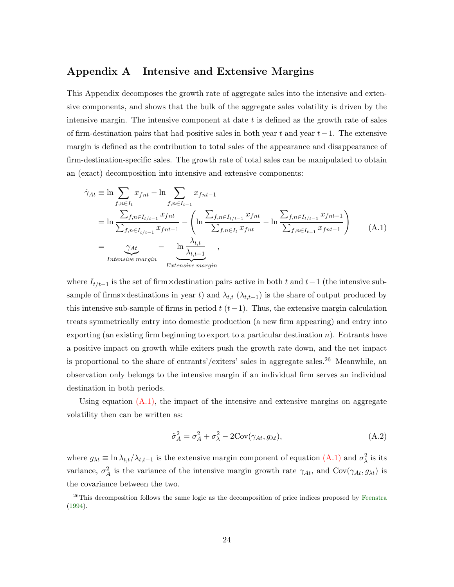## <span id="page-25-0"></span>Appendix A Intensive and Extensive Margins

This Appendix decomposes the growth rate of aggregate sales into the intensive and extensive components, and shows that the bulk of the aggregate sales volatility is driven by the intensive margin. The intensive component at date  $t$  is defined as the growth rate of sales of firm-destination pairs that had positive sales in both year t and year  $t-1$ . The extensive margin is defined as the contribution to total sales of the appearance and disappearance of firm-destination-specific sales. The growth rate of total sales can be manipulated to obtain an (exact) decomposition into intensive and extensive components:

<span id="page-25-1"></span>
$$
\tilde{\gamma}_{At} \equiv \ln \sum_{f,n \in I_t} x_{fnt} - \ln \sum_{f,n \in I_{t-1}} x_{fnt-1}
$$
\n
$$
= \ln \frac{\sum_{f,n \in I_{t/1-1}} x_{fnt}}{\sum_{f,n \in I_{t/1-1}} x_{fnt-1}} - \left( \ln \frac{\sum_{f,n \in I_{t/1-1}} x_{fnt}}{\sum_{f,n \in I_t} x_{fnt}} - \ln \frac{\sum_{f,n \in I_{t/1-1}} x_{fnt-1}}{\sum_{f,n \in I_{t-1}} x_{fnt-1}} \right)
$$
\n
$$
= \underbrace{\gamma_{At}}_{Intensive margin} - \underbrace{\ln \frac{\lambda_{t,t}}{\lambda_{t,t-1}}}_{Extensive margin},
$$
\n(A.1)

where  $I_{t/t-1}$  is the set of firm×destination pairs active in both t and t-1 (the intensive subsample of firms×destinations in year t) and  $\lambda_{t,t}$  ( $\lambda_{t,t-1}$ ) is the share of output produced by this intensive sub-sample of firms in period  $t$  ( $t-1$ ). Thus, the extensive margin calculation treats symmetrically entry into domestic production (a new firm appearing) and entry into exporting (an existing firm beginning to export to a particular destination  $n$ ). Entrants have a positive impact on growth while exiters push the growth rate down, and the net impact is proportional to the share of entrants'/exiters' sales in aggregate sales.<sup>26</sup> Meanwhile, an observation only belongs to the intensive margin if an individual firm serves an individual destination in both periods.

Using equation  $(A.1)$ , the impact of the intensive and extensive margins on aggregate volatility then can be written as:

$$
\tilde{\sigma}_A^2 = \sigma_A^2 + \sigma_\lambda^2 - 2\text{Cov}(\gamma_{At}, g_{\lambda t}),\tag{A.2}
$$

where  $g_{\lambda t} \equiv \ln \lambda_{t,t}/\lambda_{t,t-1}$  is the extensive margin component of equation  $(A.1)$  and  $\sigma_\lambda^2$  is its variance,  $\sigma_A^2$  is the variance of the intensive margin growth rate  $\gamma_{At}$ , and  $Cov(\gamma_{At}, g_{\lambda t})$  is the covariance between the two.

 $^{26}$ This decomposition follows the same logic as the decomposition of price indices proposed by [Feenstra](#page-33-15) [\(1994\)](#page-33-15).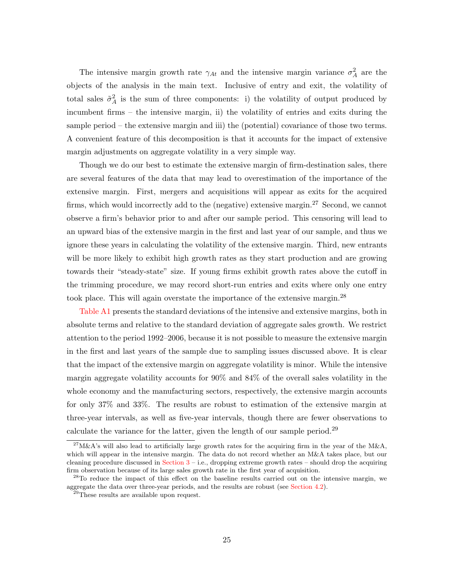The intensive margin growth rate  $\gamma_{At}$  and the intensive margin variance  $\sigma_A^2$  are the objects of the analysis in the main text. Inclusive of entry and exit, the volatility of total sales  $\tilde{\sigma}_A^2$  is the sum of three components: i) the volatility of output produced by incumbent firms – the intensive margin, ii) the volatility of entries and exits during the sample period – the extensive margin and iii) the (potential) covariance of those two terms. A convenient feature of this decomposition is that it accounts for the impact of extensive margin adjustments on aggregate volatility in a very simple way.

Though we do our best to estimate the extensive margin of firm-destination sales, there are several features of the data that may lead to overestimation of the importance of the extensive margin. First, mergers and acquisitions will appear as exits for the acquired firms, which would incorrectly add to the (negative) extensive margin.<sup>27</sup> Second, we cannot observe a firm's behavior prior to and after our sample period. This censoring will lead to an upward bias of the extensive margin in the first and last year of our sample, and thus we ignore these years in calculating the volatility of the extensive margin. Third, new entrants will be more likely to exhibit high growth rates as they start production and are growing towards their "steady-state" size. If young firms exhibit growth rates above the cutoff in the trimming procedure, we may record short-run entries and exits where only one entry took place. This will again overstate the importance of the extensive margin.<sup>28</sup>

[Table A1](#page-45-0) presents the standard deviations of the intensive and extensive margins, both in absolute terms and relative to the standard deviation of aggregate sales growth. We restrict attention to the period 1992–2006, because it is not possible to measure the extensive margin in the first and last years of the sample due to sampling issues discussed above. It is clear that the impact of the extensive margin on aggregate volatility is minor. While the intensive margin aggregate volatility accounts for 90% and 84% of the overall sales volatility in the whole economy and the manufacturing sectors, respectively, the extensive margin accounts for only 37% and 33%. The results are robust to estimation of the extensive margin at three-year intervals, as well as five-year intervals, though there are fewer observations to calculate the variance for the latter, given the length of our sample period.<sup>29</sup>

 $^{27}$ M&A's will also lead to artificially large growth rates for the acquiring firm in the year of the M&A, which will appear in the intensive margin. The data do not record whether an M&A takes place, but our cleaning procedure discussed in Section  $3 - i.e.,$  dropping extreme growth rates – should drop the acquiring firm observation because of its large sales growth rate in the first year of acquisition.

<sup>&</sup>lt;sup>28</sup>To reduce the impact of this effect on the baseline results carried out on the intensive margin, we aggregate the data over three-year periods, and the results are robust (see [Section 4.2\)](#page-17-0).

<sup>&</sup>lt;sup>29</sup>These results are available upon request.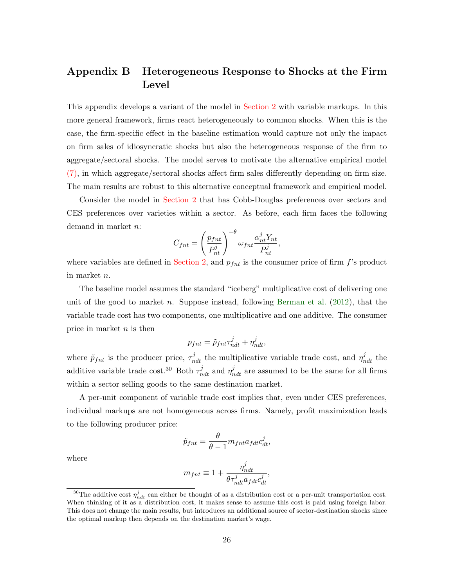# <span id="page-27-0"></span>Appendix B Heterogeneous Response to Shocks at the Firm Level

This appendix develops a variant of the model in [Section 2](#page-5-0) with variable markups. In this more general framework, firms react heterogeneously to common shocks. When this is the case, the firm-specific effect in the baseline estimation would capture not only the impact on firm sales of idiosyncratic shocks but also the heterogeneous response of the firm to aggregate/sectoral shocks. The model serves to motivate the alternative empirical model [\(7\),](#page-9-2) in which aggregate/sectoral shocks affect firm sales differently depending on firm size. The main results are robust to this alternative conceptual framework and empirical model.

Consider the model in [Section 2](#page-5-0) that has Cobb-Douglas preferences over sectors and CES preferences over varieties within a sector. As before, each firm faces the following demand in market n:

$$
C_{fnt} = \left(\frac{p_{fnt}}{P_{nt}^{j}}\right)^{-\theta} \omega_{fnt} \frac{\alpha_{nt}^{j} Y_{nt}}{P_{nt}^{j}},
$$

where variables are defined in [Section 2,](#page-5-0) and  $p_{fnt}$  is the consumer price of firm f's product in market n.

The baseline model assumes the standard "iceberg" multiplicative cost of delivering one unit of the good to market n. Suppose instead, following [Berman et al.](#page-32-15)  $(2012)$ , that the variable trade cost has two components, one multiplicative and one additive. The consumer price in market  $n$  is then

$$
p_{fnt} = \tilde{p}_{fnt} \tau_{ndt}^j + \eta_{ndt}^j,
$$

where  $\tilde{p}_{fnt}$  is the producer price,  $\tau_{ndt}^{j}$  the multiplicative variable trade cost, and  $\eta_{ndt}^{j}$  the additive variable trade cost.<sup>30</sup> Both  $\tau_{ndt}^j$  and  $\eta_{ndt}^j$  are assumed to be the same for all firms within a sector selling goods to the same destination market.

A per-unit component of variable trade cost implies that, even under CES preferences, individual markups are not homogeneous across firms. Namely, profit maximization leads to the following producer price:

$$
\tilde{p}_{fnt} = \frac{\theta}{\theta - 1} m_{fnt} a_{fdt} c_{dt}^j,
$$

where

$$
m_{fnt} \equiv 1 + \frac{\eta_{ndt}^j}{\theta \tau_{ndt}^j a_f dt c_{dt}^j},
$$

<sup>&</sup>lt;sup>30</sup>The additive cost  $\eta_{ndt}^j$  can either be thought of as a distribution cost or a per-unit transportation cost. When thinking of it as a distribution cost, it makes sense to assume this cost is paid using foreign labor. This does not change the main results, but introduces an additional source of sector-destination shocks since the optimal markup then depends on the destination market's wage.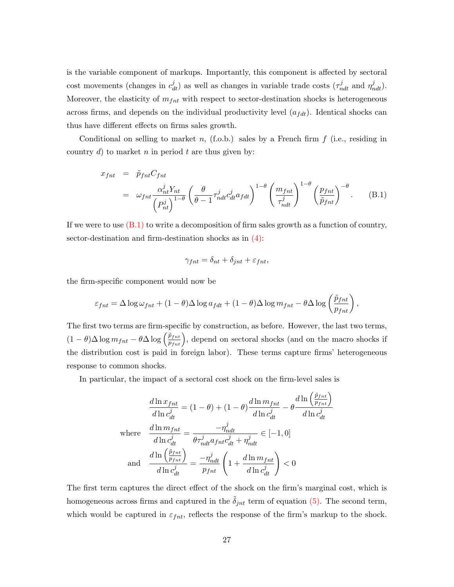is the variable component of markups. Importantly, this component is affected by sectoral cost movements (changes in  $c_{dt}^{j}$ ) as well as changes in variable trade costs  $(\tau_{ndt}^{j}$  and  $\eta_{ndt}^{j})$ . Moreover, the elasticity of  $m_{fnt}$  with respect to sector-destination shocks is heterogeneous across firms, and depends on the individual productivity level  $(a_{fdt})$ . Identical shocks can thus have different effects on firms sales growth.

Conditional on selling to market n,  $(f.o.b.)$  sales by a French firm  $f$  (i.e., residing in country d) to market n in period t are thus given by:

<span id="page-28-0"></span>
$$
x_{fnt} = \tilde{p}_{fnt} C_{fnt}
$$
  
=  $\omega_{fnt} \frac{\alpha_{nt}^{j} Y_{nt}}{(P_{nt}^{j})^{1-\theta}} \left(\frac{\theta}{\theta-1} \tau_{ndt}^{j} c_{dt}^{j} a_{fdt}\right)^{1-\theta} \left(\frac{m_{fnt}}{\tau_{ndt}^{j}}\right)^{1-\theta} \left(\frac{p_{fnt}}{\tilde{p}_{fnt}}\right)^{-\theta}.$  (B.1)

If we were to use  $(B.1)$  to write a decomposition of firm sales growth as a function of country, sector-destination and firm-destination shocks as in  $(4)$ :

$$
\gamma_{fnt} = \delta_{nt} + \delta_{jnt} + \varepsilon_{fnt},
$$

the firm-specific component would now be

$$
\varepsilon_{fnt} = \Delta \log \omega_{fnt} + (1 - \theta) \Delta \log a_{fdt} + (1 - \theta) \Delta \log m_{fnt} - \theta \Delta \log \left( \frac{\tilde{p}_{fnt}}{p_{fnt}} \right),
$$

The first two terms are firm-specific by construction, as before. However, the last two terms,  $(1-\theta)\Delta\log m_{fnt} - \theta\Delta\log\left(\frac{\tilde{p}_{fnt}}{p_{fnt}}\right)$ , depend on sectoral shocks (and on the macro shocks if the distribution cost is paid in foreign labor). These terms capture firms' heterogeneous response to common shocks.

In particular, the impact of a sectoral cost shock on the firm-level sales is

$$
\frac{d \ln x_{fnt}}{d \ln c_{dt}^{j}} = (1 - \theta) + (1 - \theta) \frac{d \ln m_{fnt}}{d \ln c_{dt}^{j}} - \theta \frac{d \ln \left(\frac{\tilde{p}_{fnt}}{p_{fnt}}\right)}{d \ln c_{dt}^{j}}
$$
\nwhere\n
$$
\frac{d \ln m_{fnt}}{d \ln c_{dt}^{j}} = \frac{-\eta_{ndt}^{j}}{\theta \tau_{ndt}^{j} a_{fnt} c_{dt}^{j} + \eta_{ndt}^{j}} \in [-1, 0]
$$
\nand\n
$$
\frac{d \ln \left(\frac{\tilde{p}_{fnt}}{p_{fnt}}\right)}{d \ln c_{dt}^{j}} = \frac{-\eta_{ndt}^{j}}{p_{fnt}} \left(1 + \frac{d \ln m_{fnt}}{d \ln c_{dt}^{j}}\right) < 0
$$

The first term captures the direct effect of the shock on the firm's marginal cost, which is homogeneous across firms and captured in the  $\tilde{\delta}_{int}$  term of equation [\(5\).](#page-8-0) The second term, which would be captured in  $\varepsilon_{fnt}$ , reflects the response of the firm's markup to the shock.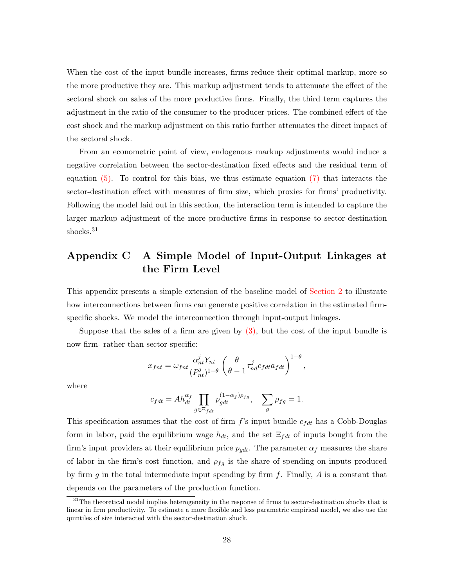When the cost of the input bundle increases, firms reduce their optimal markup, more so the more productive they are. This markup adjustment tends to attenuate the effect of the sectoral shock on sales of the more productive firms. Finally, the third term captures the adjustment in the ratio of the consumer to the producer prices. The combined effect of the cost shock and the markup adjustment on this ratio further attenuates the direct impact of the sectoral shock.

From an econometric point of view, endogenous markup adjustments would induce a negative correlation between the sector-destination fixed effects and the residual term of equation  $(5)$ . To control for this bias, we thus estimate equation  $(7)$  that interacts the sector-destination effect with measures of firm size, which proxies for firms' productivity. Following the model laid out in this section, the interaction term is intended to capture the larger markup adjustment of the more productive firms in response to sector-destination shocks.<sup>31</sup>

# <span id="page-29-0"></span>Appendix C A Simple Model of Input-Output Linkages at the Firm Level

This appendix presents a simple extension of the baseline model of [Section 2](#page-5-0) to illustrate how interconnections between firms can generate positive correlation in the estimated firmspecific shocks. We model the interconnection through input-output linkages.

Suppose that the sales of a firm are given by  $(3)$ , but the cost of the input bundle is now firm- rather than sector-specific:

$$
x_{fnt} = \omega_{fnt} \frac{\alpha_{nt}^j Y_{nt}}{(P_{nt}^j)^{1-\theta}} \left(\frac{\theta}{\theta-1} \tau_{nd}^j c_{fdt} a_{fdt}\right)^{1-\theta},
$$

where

$$
c_{fdt} = Ah_{dt}^{\alpha_f} \prod_{g \in \Xi_{fdt}} p_{gdt}^{(1-\alpha_f)\rho_{fg}}, \quad \sum_{g} \rho_{fg} = 1.
$$

This specification assumes that the cost of firm  $f$ 's input bundle  $c_{fdt}$  has a Cobb-Douglas form in labor, paid the equilibrium wage  $h_{dt}$ , and the set  $\Xi_{fdt}$  of inputs bought from the firm's input providers at their equilibrium price  $p_{qdt}$ . The parameter  $\alpha_f$  measures the share of labor in the firm's cost function, and  $\rho_{fq}$  is the share of spending on inputs produced by firm q in the total intermediate input spending by firm  $f$ . Finally,  $\vec{A}$  is a constant that depends on the parameters of the production function.

<sup>&</sup>lt;sup>31</sup>The theoretical model implies heterogeneity in the response of firms to sector-destination shocks that is linear in firm productivity. To estimate a more flexible and less parametric empirical model, we also use the quintiles of size interacted with the sector-destination shock.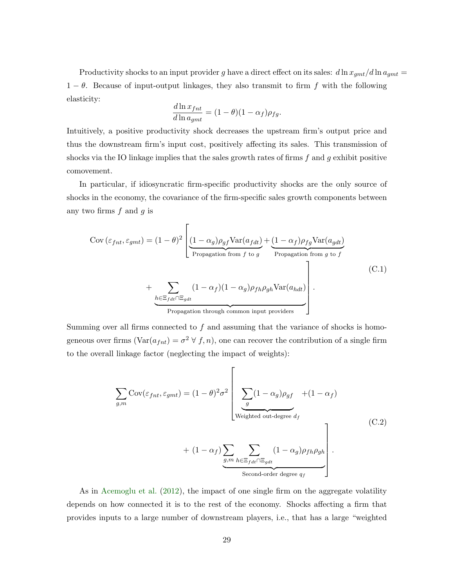Productivity shocks to an input provider g have a direct effect on its sales:  $d\ln x_{gmt}/d\ln a_{gmt} =$  $1 - \theta$ . Because of input-output linkages, they also transmit to firm f with the following elasticity:

$$
\frac{d \ln x_{fnt}}{d \ln a_{gmt}} = (1 - \theta)(1 - \alpha_f)\rho_{fg}.
$$

Intuitively, a positive productivity shock decreases the upstream firm's output price and thus the downstream firm's input cost, positively affecting its sales. This transmission of shocks via the IO linkage implies that the sales growth rates of firms  $f$  and  $g$  exhibit positive comovement.

In particular, if idiosyncratic firm-specific productivity shocks are the only source of shocks in the economy, the covariance of the firm-specific sales growth components between any two firms  $f$  and  $g$  is

<span id="page-30-1"></span>
$$
Cov(\varepsilon_{fnt}, \varepsilon_{gmt}) = (1 - \theta)^2 \left[ \underbrace{(1 - \alpha_g)\rho_{gf} \text{Var}(a_{fdt})}_{\text{Propagation from } f \text{ to } g} + \underbrace{(1 - \alpha_f)\rho_{fg} \text{Var}(a_{gdt})}_{\text{Propagation from } g \text{ to } f} + \underbrace{\sum_{h \in \Xi_{fdt} \cap \Xi_{gdt}} (1 - \alpha_f)(1 - \alpha_g)\rho_{fh}\rho_{gh} \text{Var}(a_{hdt})}_{\text{Propagation through common input providers}} \right].
$$
 (C.1)

Summing over all firms connected to  $f$  and assuming that the variance of shocks is homogeneous over firms  $(\text{Var}(a_{fnt}) = \sigma^2 \forall f, n)$ , one can recover the contribution of a single firm to the overall linkage factor (neglecting the impact of weights):

<span id="page-30-0"></span>
$$
\sum_{g,m} \text{Cov}(\varepsilon_{fnt}, \varepsilon_{gmt}) = (1 - \theta)^2 \sigma^2 \left[ \underbrace{\sum_{g} (1 - \alpha_g) \rho_{gf} + (1 - \alpha_f)}_{\text{Weighted out-degree } d_f} + (1 - \alpha_f) \underbrace{\sum_{g,m} \sum_{h \in \Xi_{fdt} \cap \Xi_{gdt}} (1 - \alpha_g) \rho_{fh} \rho_{gh}}_{\text{Second-order degree } q_f} \right].
$$
\n(C.2)

As in [Acemoglu et al.](#page-32-0) [\(2012\)](#page-32-0), the impact of one single firm on the aggregate volatility depends on how connected it is to the rest of the economy. Shocks affecting a firm that provides inputs to a large number of downstream players, i.e., that has a large "weighted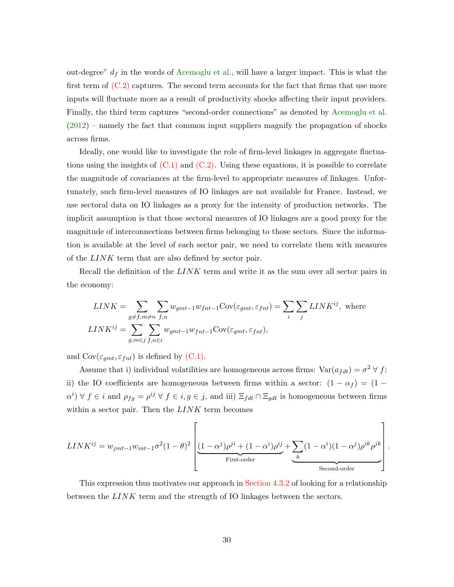out-degree"  $d_f$  in the words of [Acemoglu et al.,](#page-32-0) will have a larger impact. This is what the first term of  $(C.2)$  captures. The second term accounts for the fact that firms that use more inputs will fluctuate more as a result of productivity shocks affecting their input providers. Finally, the third term captures "second-order connections" as denoted by [Acemoglu et al.](#page-32-0) [\(2012\)](#page-32-0) – namely the fact that common input suppliers magnify the propagation of shocks across firms.

Ideally, one would like to investigate the role of firm-level linkages in aggregate fluctuations using the insights of  $(C.1)$  and  $(C.2)$ . Using these equations, it is possible to correlate the magnitude of covariances at the firm-level to appropriate measures of linkages. Unfortunately, such firm-level measures of IO linkages are not available for France. Instead, we use sectoral data on IO linkages as a proxy for the intensity of production networks. The implicit assumption is that those sectoral measures of IO linkages are a good proxy for the magnitude of interconnections between firms belonging to those sectors. Since the information is available at the level of each sector pair, we need to correlate them with measures of the LINK term that are also defined by sector pair.

Recall the definition of the LINK term and write it as the sum over all sector pairs in the economy:

$$
LINK = \sum_{g \neq f, m \neq n} \sum_{f, n} w_{gmt-1} w_{fnt-1} \text{Cov}(\varepsilon_{gmt}, \varepsilon_{fnt}) = \sum_{i} \sum_{j} LINK^{ij}, \text{ where}
$$
  

$$
LINK^{ij} = \sum_{g, m \in j} \sum_{f, n \in i} w_{gmt-1} w_{fnt-1} \text{Cov}(\varepsilon_{gmt}, \varepsilon_{fnt}),
$$

and  $\text{Cov}(\varepsilon_{gmt}, \varepsilon_{fnt})$  is defined by [\(C.1\).](#page-30-1)

Assume that i) individual volatilities are homogeneous across firms:  $Var(a_{fdt}) = \sigma^2 \forall f;$ ii) the IO coefficients are homogeneous between firms within a sector:  $(1 - \alpha_f) = (1 \alpha^i$ )  $\forall f \in i$  and  $\rho_{fg} = \rho^{ij} \forall f \in i, g \in j$ , and iii)  $\Xi_{fdt} \cap \Xi_{gdt}$  is homogeneous between firms within a sector pair. Then the  $LINK$  term becomes

$$
LINK^{ij} = w_{jmt-1}w_{int-1}\sigma^{2}(1-\theta)^{2}\left[\underbrace{(1-\alpha^{j})\rho^{ji} + (1-\alpha^{i})\rho^{ij}}_{\text{First-order}} + \underbrace{\sum_{k}(1-\alpha^{i})(1-\alpha^{j})\rho^{ik}\rho^{jk}}_{\text{Second-order}}\right]
$$

.

This expression thus motivates our approach in [Section 4.3.2](#page-22-0) of looking for a relationship between the  $LINK$  term and the strength of IO linkages between the sectors.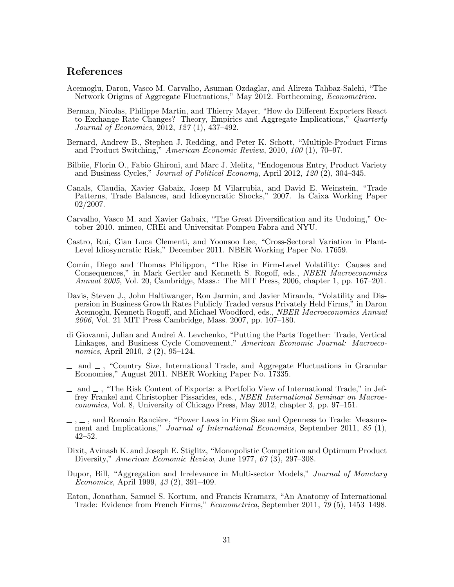## References

- <span id="page-32-0"></span>Acemoglu, Daron, Vasco M. Carvalho, Asuman Ozdaglar, and Alireza Tahbaz-Salehi, "The Network Origins of Aggregate Fluctuations," May 2012. Forthcoming, Econometrica.
- <span id="page-32-15"></span>Berman, Nicolas, Philippe Martin, and Thierry Mayer, "How do Different Exporters React to Exchange Rate Changes? Theory, Empirics and Aggregate Implications," Quarterly Journal of Economics, 2012, 127 (1), 437–492.
- <span id="page-32-9"></span>Bernard, Andrew B., Stephen J. Redding, and Peter K. Schott, "Multiple-Product Firms and Product Switching," American Economic Review, 2010, 100 (1), 70–97.
- <span id="page-32-10"></span>Bilbiie, Florin O., Fabio Ghironi, and Marc J. Melitz, "Endogenous Entry, Product Variety and Business Cycles," Journal of Political Economy, April 2012, 120 (2), 304–345.
- <span id="page-32-5"></span>Canals, Claudia, Xavier Gabaix, Josep M Vilarrubia, and David E. Weinstein, "Trade Patterns, Trade Balances, and Idiosyncratic Shocks," 2007. la Caixa Working Paper 02/2007.
- <span id="page-32-2"></span>Carvalho, Vasco M. and Xavier Gabaix, "The Great Diversification and its Undoing," October 2010. mimeo, CREi and Universitat Pompeu Fabra and NYU.
- <span id="page-32-4"></span>Castro, Rui, Gian Luca Clementi, and Yoonsoo Lee, "Cross-Sectoral Variation in Plant-Level Idiosyncratic Risk," December 2011. NBER Working Paper No. 17659.
- <span id="page-32-7"></span>Comín, Diego and Thomas Philippon, "The Rise in Firm-Level Volatility: Causes and Consequences," in Mark Gertler and Kenneth S. Rogoff, eds., NBER Macroeconomics Annual 2005, Vol. 20, Cambridge, Mass.: The MIT Press, 2006, chapter 1, pp. 167–201.
- <span id="page-32-8"></span>Davis, Steven J., John Haltiwanger, Ron Jarmin, and Javier Miranda, "Volatility and Dispersion in Business Growth Rates Publicly Traded versus Privately Held Firms," in Daron Acemoglu, Kenneth Rogoff, and Michael Woodford, eds., NBER Macroeconomics Annual 2006, Vol. 21 MIT Press Cambridge, Mass. 2007, pp. 107–180.
- <span id="page-32-13"></span>di Giovanni, Julian and Andrei A. Levchenko, "Putting the Parts Together: Trade, Vertical Linkages, and Business Cycle Comovement," American Economic Journal: Macroeconomics, April 2010, 2 (2), 95–124.
- <span id="page-32-6"></span>and  $\equiv$ , "Country Size, International Trade, and Aggregate Fluctuations in Granular Economies," August 2011. NBER Working Paper No. 17335.
- <span id="page-32-12"></span> $-$  and  $-$ , "The Risk Content of Exports: a Portfolio View of International Trade," in Jeffrey Frankel and Christopher Pissarides, eds., NBER International Seminar on Macroeconomics, Vol. 8, University of Chicago Press, May 2012, chapter 3, pp. 97–151.
- <span id="page-32-14"></span> $\ldots$ ,  $\ldots$ , and Romain Rancière, "Power Laws in Firm Size and Openness to Trade: Measurement and Implications," Journal of International Economics, September 2011, 85 (1), 42–52.
- <span id="page-32-11"></span>Dixit, Avinash K. and Joseph E. Stiglitz, "Monopolistic Competition and Optimum Product Diversity," American Economic Review, June 1977, 67 (3), 297–308.
- <span id="page-32-1"></span>Dupor, Bill, "Aggregation and Irrelevance in Multi-sector Models," Journal of Monetary Economics, April 1999, 43 (2), 391–409.
- <span id="page-32-3"></span>Eaton, Jonathan, Samuel S. Kortum, and Francis Kramarz, "An Anatomy of International Trade: Evidence from French Firms," Econometrica, September 2011, 79 (5), 1453–1498.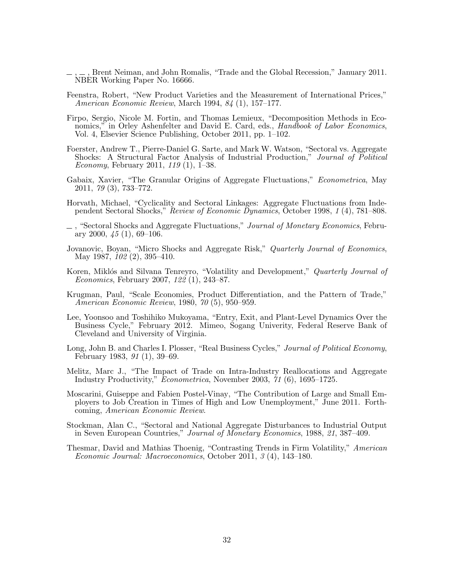- <span id="page-33-11"></span>, , Brent Neiman, and John Romalis, "Trade and the Global Recession," January 2011. NBER Working Paper No. 16666.
- <span id="page-33-15"></span>Feenstra, Robert, "New Product Varieties and the Measurement of International Prices," American Economic Review, March 1994, 84 (1), 157–177.
- <span id="page-33-13"></span>Firpo, Sergio, Nicole M. Fortin, and Thomas Lemieux, "Decomposition Methods in Economics," in Orley Ashenfelter and David E. Card, eds., *Handbook of Labor Economics*, Vol. 4, Elsevier Science Publishing, October 2011, pp. 1–102.
- <span id="page-33-5"></span>Foerster, Andrew T., Pierre-Daniel G. Sarte, and Mark W. Watson, "Sectoral vs. Aggregate Shocks: A Structural Factor Analysis of Industrial Production," Journal of Political Economy, February 2011, 119 (1), 1–38.
- <span id="page-33-0"></span>Gabaix, Xavier, "The Granular Origins of Aggregate Fluctuations," *Econometrica*, May 2011, 79 (3), 733–772.
- <span id="page-33-3"></span>Horvath, Michael, "Cyclicality and Sectoral Linkages: Aggregate Fluctuations from Independent Sectoral Shocks," Review of Economic Dynamics, October 1998, 1 (4), 781–808.
- <span id="page-33-4"></span> $\Box$ , "Sectoral Shocks and Aggregate Fluctuations," Journal of Monetary Economics, February 2000,  $\frac{1}{5}$  (1), 69–106.
- <span id="page-33-7"></span>Jovanovic, Boyan, "Micro Shocks and Aggregate Risk," Quarterly Journal of Economics, May 1987, 102 (2), 395–410.
- <span id="page-33-14"></span>Koren, Miklós and Silvana Tenreyro, "Volatility and Development," *Quarterly Journal of* Economics, February 2007, 122 (1), 243–87.
- <span id="page-33-12"></span>Krugman, Paul, "Scale Economies, Product Differentiation, and the Pattern of Trade," American Economic Review, 1980, 70 (5), 950–959.
- <span id="page-33-10"></span>Lee, Yoonsoo and Toshihiko Mukoyama, "Entry, Exit, and Plant-Level Dynamics Over the Business Cycle," February 2012. Mimeo, Sogang Univerity, Federal Reserve Bank of Cleveland and University of Virginia.
- <span id="page-33-1"></span>Long, John B. and Charles I. Plosser, "Real Business Cycles," Journal of Political Economy, February 1983, 91 (1), 39–69.
- <span id="page-33-6"></span>Melitz, Marc J., "The Impact of Trade on Intra-Industry Reallocations and Aggregate Industry Productivity," Econometrica, November 2003, 71 (6), 1695–1725.
- <span id="page-33-9"></span>Moscarini, Guiseppe and Fabien Postel-Vinay, "The Contribution of Large and Small Employers to Job Creation in Times of High and Low Unemployment," June 2011. Forthcoming, American Economic Review.
- <span id="page-33-2"></span>Stockman, Alan C., "Sectoral and National Aggregate Disturbances to Industrial Output in Seven European Countries," Journal of Monetary Economics, 1988, 21, 387–409.
- <span id="page-33-8"></span>Thesmar, David and Mathias Thoenig, "Contrasting Trends in Firm Volatility," American Economic Journal: Macroeconomics, October 2011, 3 (4), 143–180.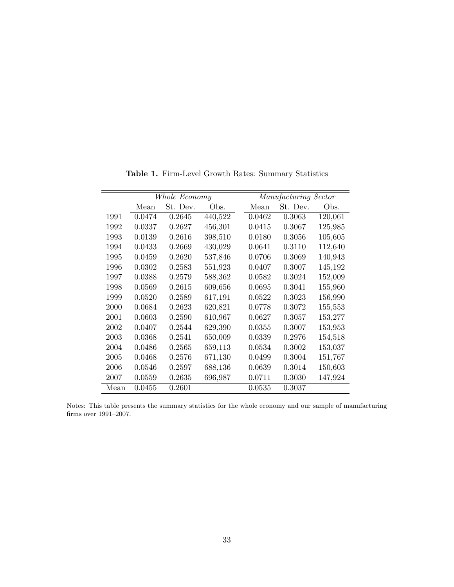<span id="page-34-0"></span>

|      |        | Whole Economy |         |        | Manufacturing Sector |         |
|------|--------|---------------|---------|--------|----------------------|---------|
|      | Mean   | St. Dev.      | Obs.    | Mean   | St. Dev.             | Obs.    |
| 1991 | 0.0474 | 0.2645        | 440,522 | 0.0462 | 0.3063               | 120,061 |
| 1992 | 0.0337 | 0.2627        | 456,301 | 0.0415 | 0.3067               | 125,985 |
| 1993 | 0.0139 | 0.2616        | 398,510 | 0.0180 | 0.3056               | 105,605 |
| 1994 | 0.0433 | 0.2669        | 430,029 | 0.0641 | 0.3110               | 112,640 |
| 1995 | 0.0459 | 0.2620        | 537,846 | 0.0706 | 0.3069               | 140,943 |
| 1996 | 0.0302 | 0.2583        | 551,923 | 0.0407 | 0.3007               | 145,192 |
| 1997 | 0.0388 | 0.2579        | 588,362 | 0.0582 | 0.3024               | 152,009 |
| 1998 | 0.0569 | 0.2615        | 609,656 | 0.0695 | 0.3041               | 155,960 |
| 1999 | 0.0520 | 0.2589        | 617,191 | 0.0522 | 0.3023               | 156,990 |
| 2000 | 0.0684 | 0.2623        | 620,821 | 0.0778 | 0.3072               | 155,553 |
| 2001 | 0.0603 | 0.2590        | 610,967 | 0.0627 | 0.3057               | 153,277 |
| 2002 | 0.0407 | 0.2544        | 629,390 | 0.0355 | 0.3007               | 153,953 |
| 2003 | 0.0368 | 0.2541        | 650,009 | 0.0339 | 0.2976               | 154,518 |
| 2004 | 0.0486 | 0.2565        | 659,113 | 0.0534 | 0.3002               | 153,037 |
| 2005 | 0.0468 | 0.2576        | 671,130 | 0.0499 | 0.3004               | 151,767 |
| 2006 | 0.0546 | 0.2597        | 688,136 | 0.0639 | 0.3014               | 150,603 |
| 2007 | 0.0559 | 0.2635        | 696,987 | 0.0711 | 0.3030               | 147,924 |
| Mean | 0.0455 | 0.2601        |         | 0.0535 | 0.3037               |         |

Table 1. Firm-Level Growth Rates: Summary Statistics

Notes: This table presents the summary statistics for the whole economy and our sample of manufacturing firms over 1991–2007.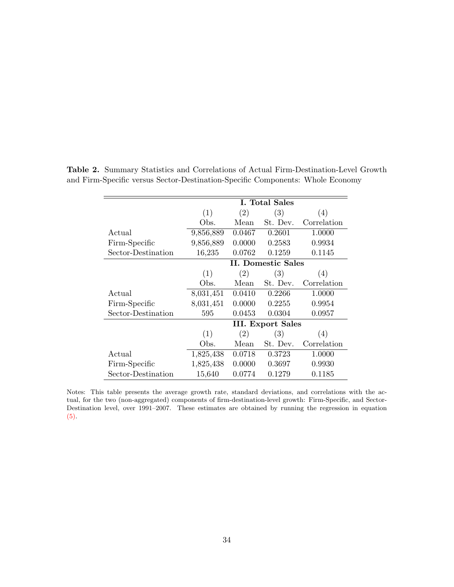|                    |           |        | I. Total Sales            |             |
|--------------------|-----------|--------|---------------------------|-------------|
|                    | (1)       | (2)    | (3)                       | (4)         |
|                    | Obs.      | Mean   | St. Dev.                  | Correlation |
| Actual             | 9,856,889 | 0.0467 | 0.2601                    | 1.0000      |
| Firm-Specific      | 9,856,889 | 0.0000 | 0.2583                    | 0.9934      |
| Sector-Destination | 16,235    | 0.0762 | 0.1259                    | 0.1145      |
|                    |           |        | <b>II. Domestic Sales</b> |             |
|                    | (1)       | (2)    | (3)                       | (4)         |
|                    | Obs.      | Mean   | St. Dev.                  | Correlation |
| Actual             | 8,031,451 | 0.0410 | 0.2266                    | 1.0000      |
| Firm-Specific      | 8,031,451 | 0.0000 | 0.2255                    | 0.9954      |
| Sector-Destination | 595       | 0.0453 | 0.0304                    | 0.0957      |
|                    |           |        | <b>III.</b> Export Sales  |             |
|                    | (1)       | (2)    | (3)                       | (4)         |
|                    | Obs.      | Mean   | St. Dev.                  | Correlation |
| Actual             | 1,825,438 | 0.0718 | 0.3723                    | 1.0000      |
| Firm-Specific      | 1,825,438 | 0.0000 | 0.3697                    | 0.9930      |
| Sector-Destination | 15,640    | 0.0774 | 0.1279                    | 0.1185      |

<span id="page-35-0"></span>Table 2. Summary Statistics and Correlations of Actual Firm-Destination-Level Growth and Firm-Specific versus Sector-Destination-Specific Components: Whole Economy

Notes: This table presents the average growth rate, standard deviations, and correlations with the actual, for the two (non-aggregated) components of firm-destination-level growth: Firm-Specific, and Sector-Destination level, over 1991–2007. These estimates are obtained by running the regression in equation [\(5\).](#page-8-0)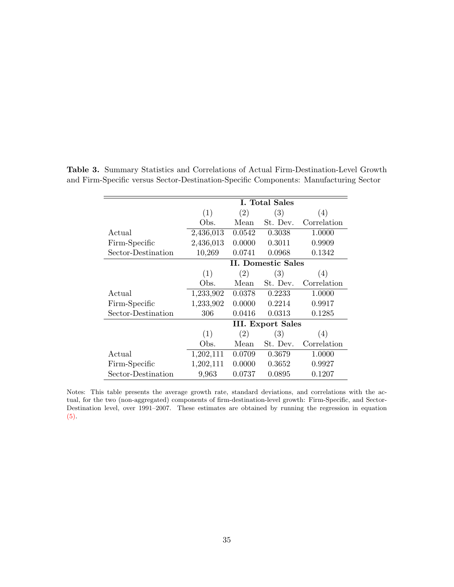|                    |           |        | I. Total Sales           |             |
|--------------------|-----------|--------|--------------------------|-------------|
|                    | (1)       | (2)    | (3)                      | (4)         |
|                    | Obs.      | Mean   | St. Dev.                 | Correlation |
| Actual             | 2,436,013 | 0.0542 | 0.3038                   | 1.0000      |
| Firm-Specific      | 2,436,013 | 0.0000 | 0.3011                   | 0.9909      |
| Sector-Destination | 10,269    | 0.0741 | 0.0968                   | 0.1342      |
|                    |           |        | II. Domestic Sales       |             |
|                    | (1)       | (2)    | (3)                      | (4)         |
|                    | Obs.      | Mean   | St. Dev.                 | Correlation |
| Actual             | 1,233,902 | 0.0378 | 0.2233                   | 1.0000      |
| Firm-Specific      | 1,233,902 | 0.0000 | 0.2214                   | 0.9917      |
| Sector-Destination | 306       | 0.0416 | 0.0313                   | 0.1285      |
|                    |           |        | <b>III.</b> Export Sales |             |
|                    | (1)       | (2)    | (3)                      | (4)         |
|                    | Obs.      | Mean   | St. Dev.                 | Correlation |
| Actual             | 1,202,111 | 0.0709 | 0.3679                   | 1.0000      |
| Firm-Specific      | 1,202,111 | 0.0000 | 0.3652                   | 0.9927      |
| Sector-Destination | 9,963     | 0.0737 | 0.0895                   | 0.1207      |

<span id="page-36-0"></span>Table 3. Summary Statistics and Correlations of Actual Firm-Destination-Level Growth and Firm-Specific versus Sector-Destination-Specific Components: Manufacturing Sector

Notes: This table presents the average growth rate, standard deviations, and correlations with the actual, for the two (non-aggregated) components of firm-destination-level growth: Firm-Specific, and Sector-Destination level, over 1991–2007. These estimates are obtained by running the regression in equation [\(5\).](#page-8-0)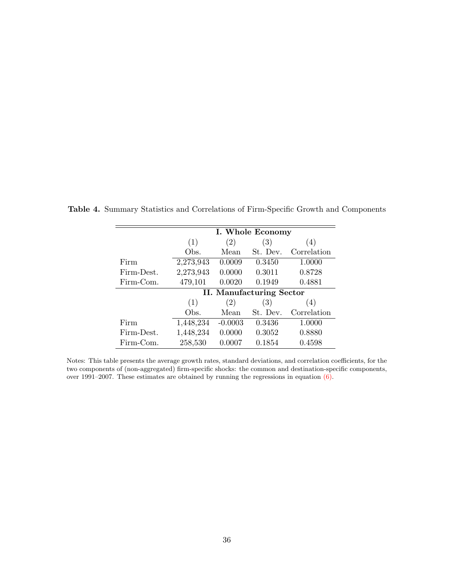|            |           |           | I. Whole Economy                |             |
|------------|-----------|-----------|---------------------------------|-------------|
|            | (1)       | (2)       | (3)                             | (4)         |
|            | Obs.      | Mean      | St. Dev.                        | Correlation |
| Firm       | 2,273,943 | 0.0009    | 0.3450                          | 1.0000      |
| Firm-Dest. | 2,273,943 | 0.0000    | 0.3011                          | 0.8728      |
| Firm-Com.  | 479,101   | 0.0020    | 0.1949                          | 0.4881      |
|            |           |           | <b>II. Manufacturing Sector</b> |             |
|            | (1)       | (2)       | (3)                             | (4)         |
|            | Obs.      | Mean      | St. Dev.                        | Correlation |
| Firm       | 1,448,234 | $-0.0003$ | 0.3436                          | 1.0000      |
| Firm-Dest. | 1,448,234 | 0.0000    | 0.3052                          | 0.8880      |
| Firm-Com.  | 258,530   | 0.0007    | 0.1854                          | 0.4598      |

<span id="page-37-0"></span>Table 4. Summary Statistics and Correlations of Firm-Specific Growth and Components

Notes: This table presents the average growth rates, standard deviations, and correlation coefficients, for the two components of (non-aggregated) firm-specific shocks: the common and destination-specific components, over 1991–2007. These estimates are obtained by running the regressions in equation [\(6\).](#page-8-1)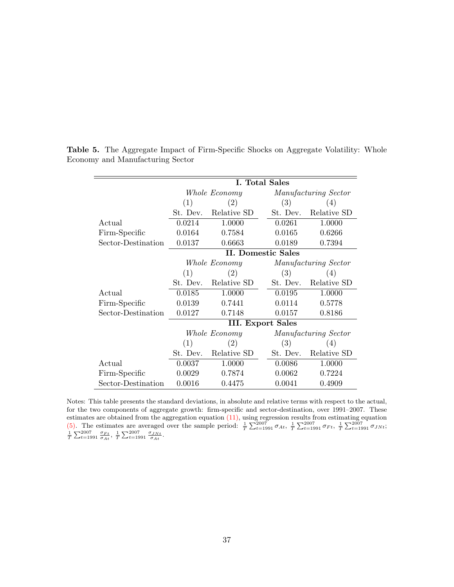|                    |                           |               | I. Total Sales |                      |  |
|--------------------|---------------------------|---------------|----------------|----------------------|--|
|                    |                           | Whole Economy |                | Manufacturing Sector |  |
|                    | (1)                       | (2)           | (3)            | (4)                  |  |
|                    | St. Dev.                  | Relative SD   | St. Dev.       | Relative SD          |  |
| Actual             | 0.0214                    | 1.0000        | 0.0261         | 1.0000               |  |
| Firm-Specific      | 0.0164                    | 0.7584        | 0.0165         | 0.6266               |  |
| Sector-Destination | 0.0137                    | 0.6663        | 0.0189         | 0.7394               |  |
|                    | <b>II. Domestic Sales</b> |               |                |                      |  |
|                    |                           | Whole Economy |                | Manufacturing Sector |  |
|                    | (1)                       | (2)           | (3)            | (4)                  |  |
|                    | St. Dev.                  | Relative SD   | St. Dev.       | Relative SD          |  |
| Actual             | 0.0185                    | 1.0000        | 0.0195         | 1.0000               |  |
| Firm-Specific      | 0.0139                    | 0.7441        | 0.0114         | 0.5778               |  |
| Sector-Destination | 0.0127                    | 0.7148        | 0.0157         | 0.8186               |  |
|                    | <b>III. Export Sales</b>  |               |                |                      |  |
|                    | Whole Economy             |               |                | Manufacturing Sector |  |
|                    | (1)                       | (2)           | (3)            | (4)                  |  |
|                    | St. Dev.                  | Relative SD   | St. Dev.       | Relative SD          |  |
| Actual             | 0.0037                    | 1.0000        | 0.0086         | 1.0000               |  |
| Firm-Specific      | 0.0029                    | 0.7874        | 0.0062         | 0.7224               |  |
| Sector-Destination | 0.0016                    | 0.4475        | 0.0041         | 0.4909               |  |

<span id="page-38-0"></span>Table 5. The Aggregate Impact of Firm-Specific Shocks on Aggregate Volatility: Whole Economy and Manufacturing Sector

Notes: This table presents the standard deviations, in absolute and relative terms with respect to the actual, for the two components of aggregate growth: firm-specific and sector-destination, over 1991–2007. These estimates are obtained from the aggregation equation  $(11)$ , using regression results from estimating equation [\(5\).](#page-8-0) The estimates are averaged over the sample period:  $\frac{1}{T} \sum_{t=1991}^{2007} \sigma_{At}$ ,  $\frac{1}{T} \sum_{t=1991}^{2007} \sigma_{Ft}$ ,  $\frac{1}{T} \sum_{t=1991}^{2007} \sigma_{JNt}$ ;<br> $\frac{1}{T} \sum_{t=1991}^{2007} \sigma_{At}$ ,  $\frac{1}{T} \sum_{t=1991}^{2007} \sigma_{Ht}$ .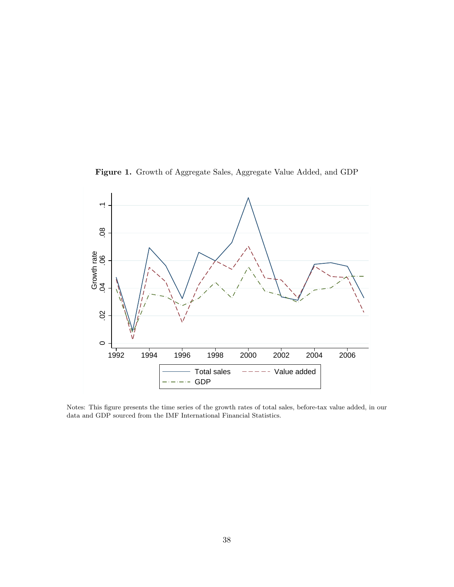Figure 1. Growth of Aggregate Sales, Aggregate Value Added, and GDP

<span id="page-39-0"></span>

Notes: This figure presents the time series of the growth rates of total sales, before-tax value added, in our data and GDP sourced from the IMF International Financial Statistics.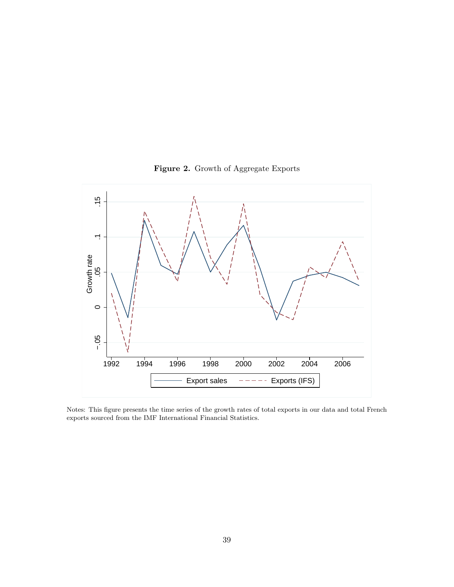<span id="page-40-0"></span>

Figure 2. Growth of Aggregate Exports

Notes: This figure presents the time series of the growth rates of total exports in our data and total French exports sourced from the IMF International Financial Statistics.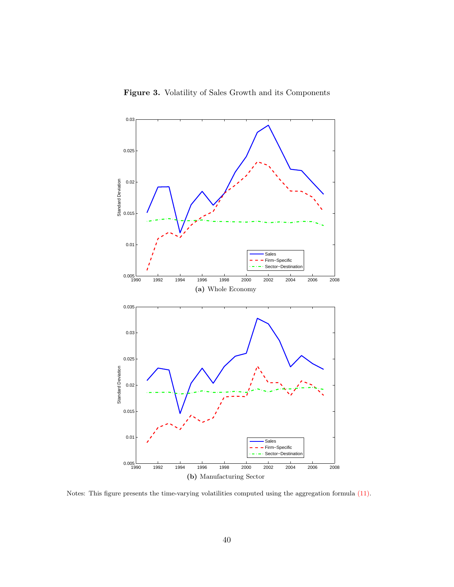

<span id="page-41-0"></span>

Notes: This figure presents the time-varying volatilities computed using the aggregation formula [\(11\).](#page-10-2)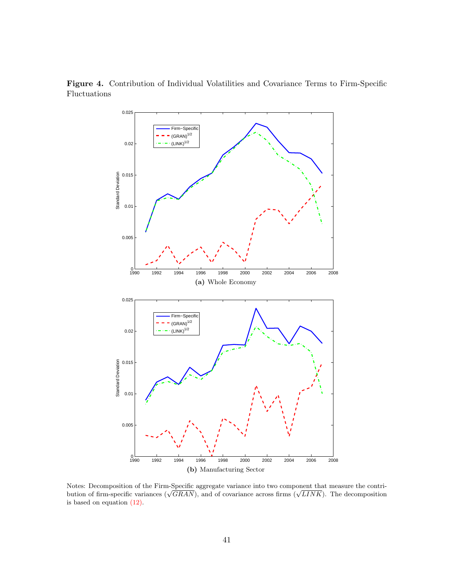

<span id="page-42-0"></span>Figure 4. Contribution of Individual Volatilities and Covariance Terms to Firm-Specific Fluctuations

Notes: Decomposition of the Firm-Specific aggregate variance into two component that measure the contri-Notes: Decomposition of the Firm-specific aggregate variance into two component that measure the contribution of firm-specific variances ( $\sqrt{GRAN}$ ), and of covariance across firms ( $\sqrt{LINK}$ ). The decomposition is based on equation [\(12\).](#page-19-1)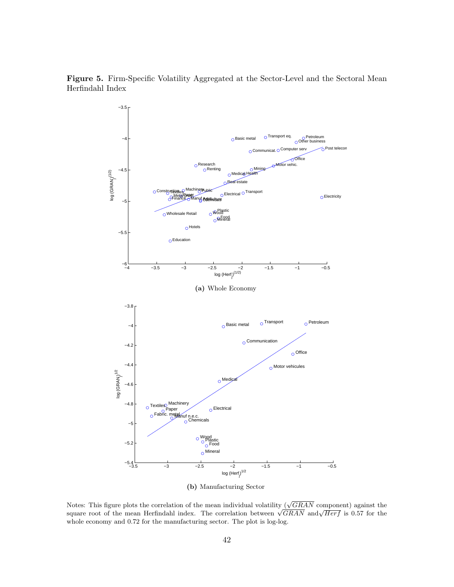<span id="page-43-0"></span>Figure 5. Firm-Specific Volatility Aggregated at the Sector-Level and the Sectoral Mean Herfindahl Index



(b) Manufacturing Sector

Notes: This figure plots the correlation of the mean individual volatility ( $\sqrt{GRAN}$  component) against the Notes: This figure plots the correlation of the mean individual volatility ( $\sqrt{GRAN}$  component) against the square root of the mean Herfindahl index. The correlation between  $\sqrt{GRAN}$  and $\sqrt{Herf}$  is 0.57 for the whole economy and 0.72 for the manufacturing sector. The plot is log-log.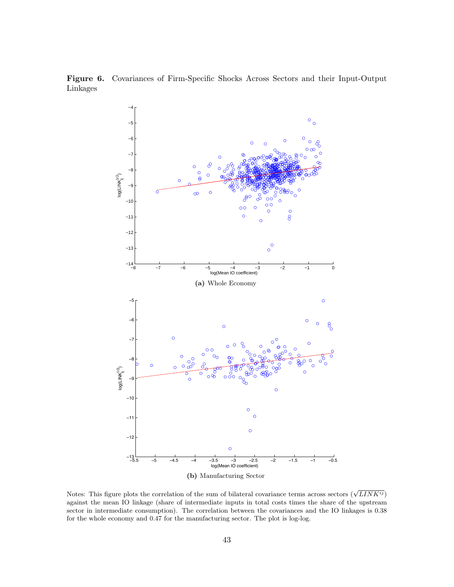<span id="page-44-1"></span><span id="page-44-0"></span>Figure 6. Covariances of Firm-Specific Shocks Across Sectors and their Input-Output Linkages

<span id="page-44-2"></span>

Notes: This figure plots the correlation of the sum of bilateral covariance terms across sectors  $(\sqrt{LINK^{ij}})$ against the mean IO linkage (share of intermediate inputs in total costs times the share of the upstream sector in intermediate consumption). The correlation between the covariances and the IO linkages is 0.38 for the whole economy and 0.47 for the manufacturing sector. The plot is log-log.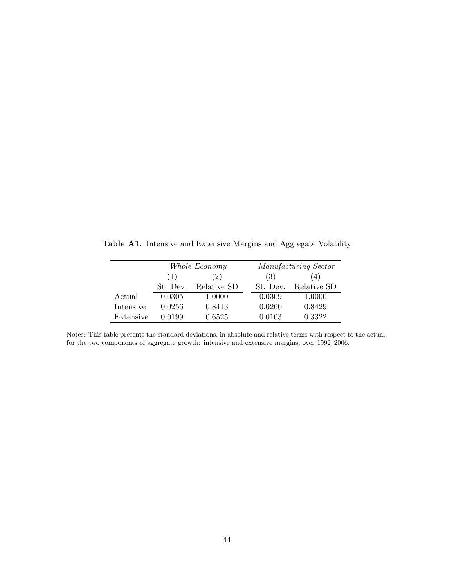<span id="page-45-0"></span>Table A1. Intensive and Extensive Margins and Aggregate Volatility

|           |            | Whole Economy |          | Manufacturing Sector |  |
|-----------|------------|---------------|----------|----------------------|--|
|           | (2)<br>(1) |               | (3)      | (4)                  |  |
|           | St. Dev.   | Relative SD   | St. Dev. | Relative SD          |  |
| Actual    | 0.0305     | 1.0000        | 0.0309   | 1.0000               |  |
| Intensive | 0.0256     | 0.8413        | 0.0260   | 0.8429               |  |
| Extensive | 0.0199     | 0.6525        | 0.0103   | 0.3322               |  |

Notes: This table presents the standard deviations, in absolute and relative terms with respect to the actual, for the two components of aggregate growth: intensive and extensive margins, over 1992–2006.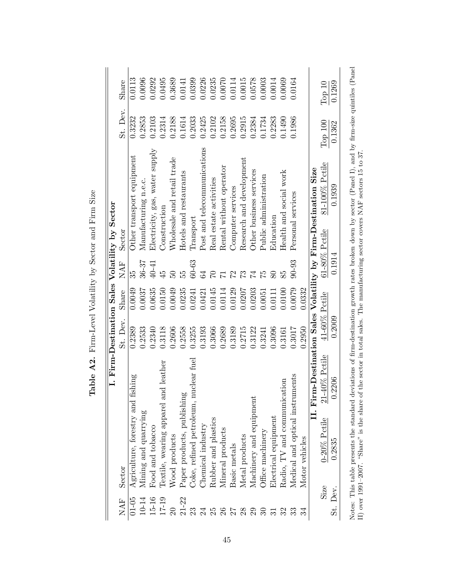<span id="page-46-0"></span>

|                 |        |                                                    |                  |        |                | I. Firm-Destination Sales Volatility by Sector                 |          |          |
|-----------------|--------|----------------------------------------------------|------------------|--------|----------------|----------------------------------------------------------------|----------|----------|
| <b>NAF</b>      | Sector |                                                    | St. Dev.         | Share  | NAF            | Sector                                                         | St. Dev. | Share    |
| $01 - 05$       |        | fishing<br>Agriculture, forestry and               | 0.2389           | 0.0049 | 35             | Other transport equipment                                      | 0.3232   | 0.0113   |
| $10 - 14$       |        | Mining and quarrying                               | 0.2533           | 0.0037 | 36-37          | Manufacturing n.e.c.                                           | 0.2853   | 0.0096   |
| 15-16           |        | Food and tobacco                                   | 0.2340           | 0.0635 | 40-41          | Electricity, gas, water supply                                 | 0.2103   | 0.0292   |
| $17 - 19$       |        | and leather<br>Textile, wearing apparel a          | 0.3118           | 0.0150 | $\ddot{4}$     | Construction                                                   | 0.2314   | 0.0495   |
| $\overline{20}$ |        | Nood products                                      | 0.2606           | 0.0049 |                | Wholesale and retail trade                                     | 0.2188   | 0.3689   |
| $21 - 22$       |        | Paper products, publishing                         | 0.2558           | 0.0235 | ъ5<br>С        | Hotels and restaurants                                         | 0.1614   | 0.0141   |
| 23              |        | nuclear fuel<br>Coke, refined petroleum,           | 0.3255           | 0.0241 | $60 - 63$      | Transport                                                      | 0.2033   | 0.0399   |
| $\overline{24}$ |        | Chemical industry                                  | 0.3193           | 0.0421 | 34             | Post and telecommunications                                    | 0.2425   | 0.0226   |
| 25              |        | Rubber and plastics                                | 0.3066           | 0.0145 | S              | Real estate activities                                         | 0.2102   | 0.0235   |
| $26\,$          |        | Mineral products                                   | 0.2689           | 0.0114 |                | Rental without operator                                        | 0.2158   | 0.0070   |
|                 |        | Basic metals                                       | 0.3189           | 0.0129 | $\mathcal{Z}$  | Computer services                                              | 0.2695   | 0.0114   |
| 28              |        | Metal products                                     | 0.2715           | 0.0207 | $\mathfrak{S}$ | Research and development                                       | 0.2915   | 0.0015   |
| 29              |        | Machinery and equipment                            | 0.3122           | 0.0203 | $\overline{7}$ | Other business services                                        | 0.2384   | 0.0578   |
|                 |        | Office machinery                                   | 0.3241           | 0.0051 | $\tilde{5}$    | Public administration                                          | 0.1734   | 0.0003   |
|                 |        | Electrical equipment                               | 0.3096           | 0.0111 |                | Education                                                      | 0.2283   | 0.0014   |
|                 |        | Radio, TV and communication                        | 0.3161           | 0.0100 | 85             | Health and social work                                         | 0.1490   | 0.0069   |
|                 |        | Medical and optical instruments                    | 0.3017           | 0.0079 | $90 - 93$      | Personal services                                              | 0.1986   | 0.0164   |
|                 |        | Motor vehicles                                     | 0.2950           | 0.0332 |                |                                                                |          |          |
|                 |        |                                                    |                  |        |                | II. Firm-Destination Sales Volatility by Firm-Destination Size |          |          |
|                 | Size   | $21\text{--}40\%$ Petile<br>$0\text{-}20\%$ Petile | $41-60\%$ Petile |        |                | 81-100% Petile<br>61-80% Petile                                | Тор 100  | Top $10$ |
| St. Dev.        |        | 0.2206<br>0.2835                                   | 0.2009           |        | 0.1914         | 0.1939                                                         | 0.1362   | 0.1269   |
|                 |        |                                                    |                  |        |                |                                                                |          |          |

Table A2. Firm-Level Volatility by Sector and Firm Size **Table A2.** Firm-Level Volatility by Sector and Firm Size Notes: This table presents the standard deviations of firm-destination growth rates broken down by sector (Panel I), and by firm-size quintiles (Panel II) over 1991–2007. "Share" is the share of the sector in total sales. Notes: This table presents the standard deviations of firm-destination growth rates broken down by sector (Panel I), and by firm-size quintiles (Panel II) over 1991–2007. "Share" is the share of the sector in total sales. The manufacturing sector covers NAF sectors 15 to 37.